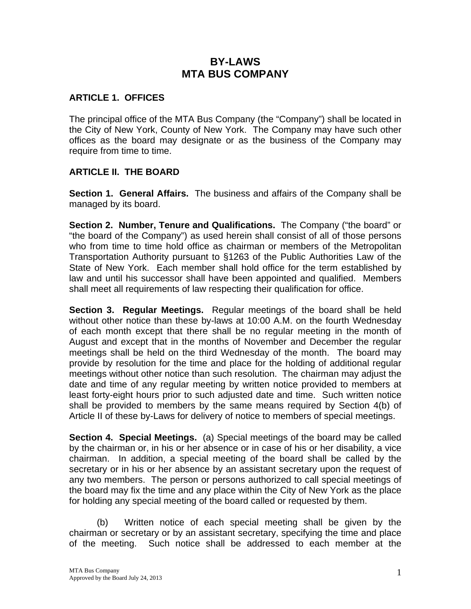# **BY-LAWS MTA BUS COMPANY**

### **ARTICLE 1. OFFICES**

The principal office of the MTA Bus Company (the "Company") shall be located in the City of New York, County of New York. The Company may have such other offices as the board may designate or as the business of the Company may require from time to time.

### **ARTICLE II. THE BOARD**

**Section 1. General Affairs.** The business and affairs of the Company shall be managed by its board.

**Section 2. Number, Tenure and Qualifications.** The Company ("the board" or "the board of the Company") as used herein shall consist of all of those persons who from time to time hold office as chairman or members of the Metropolitan Transportation Authority pursuant to §1263 of the Public Authorities Law of the State of New York. Each member shall hold office for the term established by law and until his successor shall have been appointed and qualified. Members shall meet all requirements of law respecting their qualification for office.

**Section 3. Regular Meetings.** Regular meetings of the board shall be held without other notice than these by-laws at 10:00 A.M. on the fourth Wednesday of each month except that there shall be no regular meeting in the month of August and except that in the months of November and December the regular meetings shall be held on the third Wednesday of the month. The board may provide by resolution for the time and place for the holding of additional regular meetings without other notice than such resolution. The chairman may adjust the date and time of any regular meeting by written notice provided to members at least forty-eight hours prior to such adjusted date and time. Such written notice shall be provided to members by the same means required by Section 4(b) of Article II of these by-Laws for delivery of notice to members of special meetings.

**Section 4. Special Meetings.** (a) Special meetings of the board may be called by the chairman or, in his or her absence or in case of his or her disability, a vice chairman. In addition, a special meeting of the board shall be called by the secretary or in his or her absence by an assistant secretary upon the request of any two members. The person or persons authorized to call special meetings of the board may fix the time and any place within the City of New York as the place for holding any special meeting of the board called or requested by them.

(b) Written notice of each special meeting shall be given by the chairman or secretary or by an assistant secretary, specifying the time and place of the meeting. Such notice shall be addressed to each member at the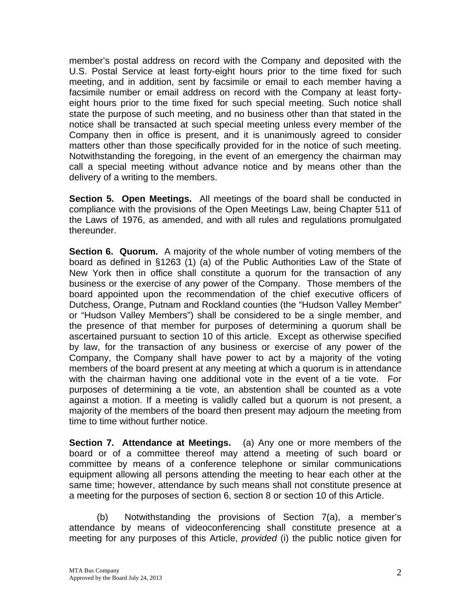member's postal address on record with the Company and deposited with the U.S. Postal Service at least forty-eight hours prior to the time fixed for such meeting, and in addition, sent by facsimile or email to each member having a facsimile number or email address on record with the Company at least fortyeight hours prior to the time fixed for such special meeting. Such notice shall state the purpose of such meeting, and no business other than that stated in the notice shall be transacted at such special meeting unless every member of the Company then in office is present, and it is unanimously agreed to consider matters other than those specifically provided for in the notice of such meeting. Notwithstanding the foregoing, in the event of an emergency the chairman may call a special meeting without advance notice and by means other than the delivery of a writing to the members.

**Section 5. Open Meetings.** All meetings of the board shall be conducted in compliance with the provisions of the Open Meetings Law, being Chapter 511 of the Laws of 1976, as amended, and with all rules and regulations promulgated thereunder.

**Section 6. Quorum.** A majority of the whole number of voting members of the board as defined in §1263 (1) (a) of the Public Authorities Law of the State of New York then in office shall constitute a quorum for the transaction of any business or the exercise of any power of the Company. Those members of the board appointed upon the recommendation of the chief executive officers of Dutchess, Orange, Putnam and Rockland counties (the "Hudson Valley Member" or "Hudson Valley Members") shall be considered to be a single member, and the presence of that member for purposes of determining a quorum shall be ascertained pursuant to section 10 of this article. Except as otherwise specified by law, for the transaction of any business or exercise of any power of the Company, the Company shall have power to act by a majority of the voting members of the board present at any meeting at which a quorum is in attendance with the chairman having one additional vote in the event of a tie vote. For purposes of determining a tie vote, an abstention shall be counted as a vote against a motion. If a meeting is validly called but a quorum is not present, a majority of the members of the board then present may adjourn the meeting from time to time without further notice.

**Section 7. Attendance at Meetings.** (a) Any one or more members of the board or of a committee thereof may attend a meeting of such board or committee by means of a conference telephone or similar communications equipment allowing all persons attending the meeting to hear each other at the same time; however, attendance by such means shall not constitute presence at a meeting for the purposes of section 6, section 8 or section 10 of this Article.

(b) Notwithstanding the provisions of Section 7(a), a member's attendance by means of videoconferencing shall constitute presence at a meeting for any purposes of this Article, *provided* (i) the public notice given for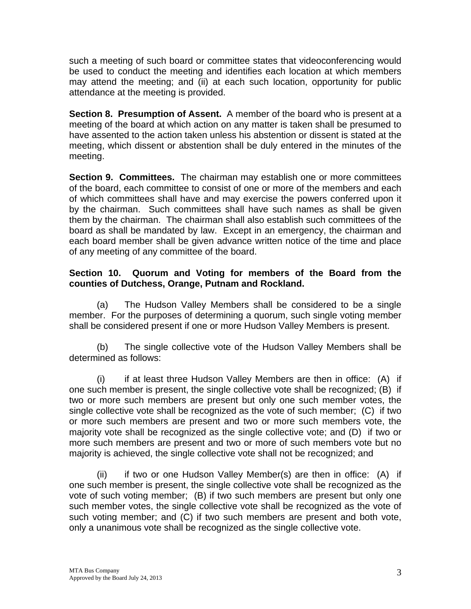such a meeting of such board or committee states that videoconferencing would be used to conduct the meeting and identifies each location at which members may attend the meeting; and (ii) at each such location, opportunity for public attendance at the meeting is provided.

**Section 8. Presumption of Assent.** A member of the board who is present at a meeting of the board at which action on any matter is taken shall be presumed to have assented to the action taken unless his abstention or dissent is stated at the meeting, which dissent or abstention shall be duly entered in the minutes of the meeting.

**Section 9. Committees.** The chairman may establish one or more committees of the board, each committee to consist of one or more of the members and each of which committees shall have and may exercise the powers conferred upon it by the chairman. Such committees shall have such names as shall be given them by the chairman. The chairman shall also establish such committees of the board as shall be mandated by law. Except in an emergency, the chairman and each board member shall be given advance written notice of the time and place of any meeting of any committee of the board.

### **Section 10. Quorum and Voting for members of the Board from the counties of Dutchess, Orange, Putnam and Rockland.**

 (a) The Hudson Valley Members shall be considered to be a single member. For the purposes of determining a quorum, such single voting member shall be considered present if one or more Hudson Valley Members is present.

(b) The single collective vote of the Hudson Valley Members shall be determined as follows:

(i) if at least three Hudson Valley Members are then in office: (A) if one such member is present, the single collective vote shall be recognized; (B) if two or more such members are present but only one such member votes, the single collective vote shall be recognized as the vote of such member; (C) if two or more such members are present and two or more such members vote, the majority vote shall be recognized as the single collective vote; and (D) if two or more such members are present and two or more of such members vote but no majority is achieved, the single collective vote shall not be recognized; and

 (ii) if two or one Hudson Valley Member(s) are then in office: (A) if one such member is present, the single collective vote shall be recognized as the vote of such voting member; (B) if two such members are present but only one such member votes, the single collective vote shall be recognized as the vote of such voting member; and (C) if two such members are present and both vote, only a unanimous vote shall be recognized as the single collective vote.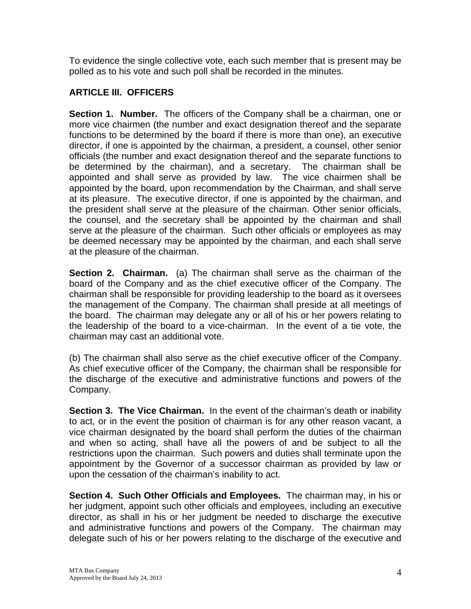To evidence the single collective vote, each such member that is present may be polled as to his vote and such poll shall be recorded in the minutes.

## **ARTICLE III. OFFICERS**

**Section 1. Number.** The officers of the Company shall be a chairman, one or more vice chairmen (the number and exact designation thereof and the separate functions to be determined by the board if there is more than one), an executive director, if one is appointed by the chairman, a president, a counsel, other senior officials (the number and exact designation thereof and the separate functions to be determined by the chairman), and a secretary. The chairman shall be appointed and shall serve as provided by law. The vice chairmen shall be appointed by the board, upon recommendation by the Chairman, and shall serve at its pleasure. The executive director, if one is appointed by the chairman, and the president shall serve at the pleasure of the chairman. Other senior officials, the counsel, and the secretary shall be appointed by the chairman and shall serve at the pleasure of the chairman. Such other officials or employees as may be deemed necessary may be appointed by the chairman, and each shall serve at the pleasure of the chairman.

**Section 2. Chairman.** (a) The chairman shall serve as the chairman of the board of the Company and as the chief executive officer of the Company. The chairman shall be responsible for providing leadership to the board as it oversees the management of the Company. The chairman shall preside at all meetings of the board. The chairman may delegate any or all of his or her powers relating to the leadership of the board to a vice-chairman. In the event of a tie vote, the chairman may cast an additional vote.

(b) The chairman shall also serve as the chief executive officer of the Company. As chief executive officer of the Company, the chairman shall be responsible for the discharge of the executive and administrative functions and powers of the Company.

**Section 3. The Vice Chairman.** In the event of the chairman's death or inability to act, or in the event the position of chairman is for any other reason vacant, a vice chairman designated by the board shall perform the duties of the chairman and when so acting, shall have all the powers of and be subject to all the restrictions upon the chairman. Such powers and duties shall terminate upon the appointment by the Governor of a successor chairman as provided by law or upon the cessation of the chairman's inability to act.

**Section 4. Such Other Officials and Employees.** The chairman may, in his or her judgment, appoint such other officials and employees, including an executive director, as shall in his or her judgment be needed to discharge the executive and administrative functions and powers of the Company. The chairman may delegate such of his or her powers relating to the discharge of the executive and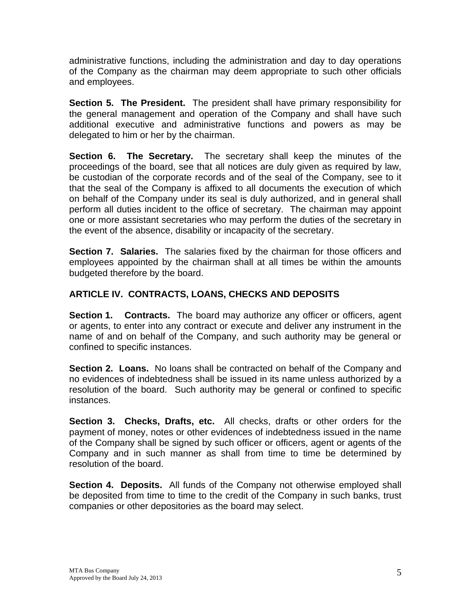administrative functions, including the administration and day to day operations of the Company as the chairman may deem appropriate to such other officials and employees.

**Section 5. The President.** The president shall have primary responsibility for the general management and operation of the Company and shall have such additional executive and administrative functions and powers as may be delegated to him or her by the chairman.

**Section 6. The Secretary.** The secretary shall keep the minutes of the proceedings of the board, see that all notices are duly given as required by law, be custodian of the corporate records and of the seal of the Company, see to it that the seal of the Company is affixed to all documents the execution of which on behalf of the Company under its seal is duly authorized, and in general shall perform all duties incident to the office of secretary. The chairman may appoint one or more assistant secretaries who may perform the duties of the secretary in the event of the absence, disability or incapacity of the secretary.

**Section 7. Salaries.** The salaries fixed by the chairman for those officers and employees appointed by the chairman shall at all times be within the amounts budgeted therefore by the board.

# **ARTICLE IV. CONTRACTS, LOANS, CHECKS AND DEPOSITS**

**Section 1. Contracts.** The board may authorize any officer or officers, agent or agents, to enter into any contract or execute and deliver any instrument in the name of and on behalf of the Company, and such authority may be general or confined to specific instances.

**Section 2. Loans.** No loans shall be contracted on behalf of the Company and no evidences of indebtedness shall be issued in its name unless authorized by a resolution of the board. Such authority may be general or confined to specific instances.

**Section 3. Checks, Drafts, etc.** All checks, drafts or other orders for the payment of money, notes or other evidences of indebtedness issued in the name of the Company shall be signed by such officer or officers, agent or agents of the Company and in such manner as shall from time to time be determined by resolution of the board.

**Section 4. Deposits.** All funds of the Company not otherwise employed shall be deposited from time to time to the credit of the Company in such banks, trust companies or other depositories as the board may select.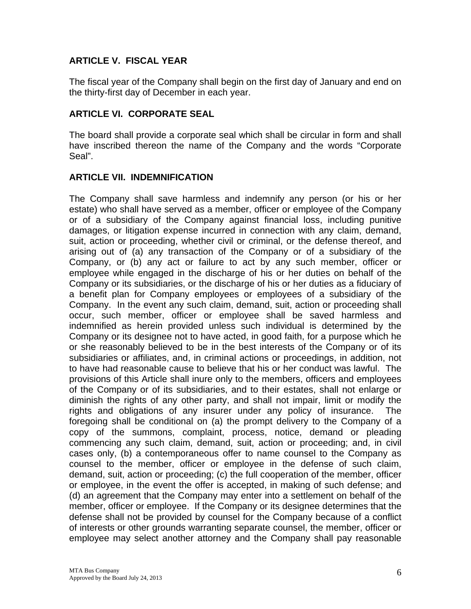## **ARTICLE V. FISCAL YEAR**

The fiscal year of the Company shall begin on the first day of January and end on the thirty-first day of December in each year.

#### **ARTICLE VI. CORPORATE SEAL**

The board shall provide a corporate seal which shall be circular in form and shall have inscribed thereon the name of the Company and the words "Corporate Seal".

#### **ARTICLE VII. INDEMNIFICATION**

The Company shall save harmless and indemnify any person (or his or her estate) who shall have served as a member, officer or employee of the Company or of a subsidiary of the Company against financial loss, including punitive damages, or litigation expense incurred in connection with any claim, demand, suit, action or proceeding, whether civil or criminal, or the defense thereof, and arising out of (a) any transaction of the Company or of a subsidiary of the Company, or (b) any act or failure to act by any such member, officer or employee while engaged in the discharge of his or her duties on behalf of the Company or its subsidiaries, or the discharge of his or her duties as a fiduciary of a benefit plan for Company employees or employees of a subsidiary of the Company. In the event any such claim, demand, suit, action or proceeding shall occur, such member, officer or employee shall be saved harmless and indemnified as herein provided unless such individual is determined by the Company or its designee not to have acted, in good faith, for a purpose which he or she reasonably believed to be in the best interests of the Company or of its subsidiaries or affiliates, and, in criminal actions or proceedings, in addition, not to have had reasonable cause to believe that his or her conduct was lawful. The provisions of this Article shall inure only to the members, officers and employees of the Company or of its subsidiaries, and to their estates, shall not enlarge or diminish the rights of any other party, and shall not impair, limit or modify the rights and obligations of any insurer under any policy of insurance. The foregoing shall be conditional on (a) the prompt delivery to the Company of a copy of the summons, complaint, process, notice, demand or pleading commencing any such claim, demand, suit, action or proceeding; and, in civil cases only, (b) a contemporaneous offer to name counsel to the Company as counsel to the member, officer or employee in the defense of such claim, demand, suit, action or proceeding; (c) the full cooperation of the member, officer or employee, in the event the offer is accepted, in making of such defense; and (d) an agreement that the Company may enter into a settlement on behalf of the member, officer or employee. If the Company or its designee determines that the defense shall not be provided by counsel for the Company because of a conflict of interests or other grounds warranting separate counsel, the member, officer or employee may select another attorney and the Company shall pay reasonable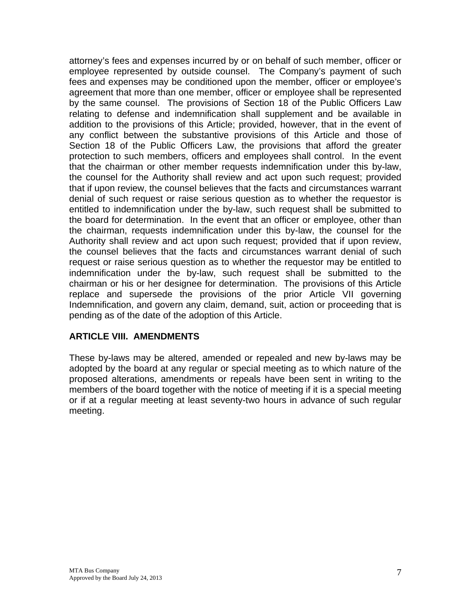attorney's fees and expenses incurred by or on behalf of such member, officer or employee represented by outside counsel. The Company's payment of such fees and expenses may be conditioned upon the member, officer or employee's agreement that more than one member, officer or employee shall be represented by the same counsel. The provisions of Section 18 of the Public Officers Law relating to defense and indemnification shall supplement and be available in addition to the provisions of this Article; provided, however, that in the event of any conflict between the substantive provisions of this Article and those of Section 18 of the Public Officers Law, the provisions that afford the greater protection to such members, officers and employees shall control. In the event that the chairman or other member requests indemnification under this by-law, the counsel for the Authority shall review and act upon such request; provided that if upon review, the counsel believes that the facts and circumstances warrant denial of such request or raise serious question as to whether the requestor is entitled to indemnification under the by-law, such request shall be submitted to the board for determination. In the event that an officer or employee, other than the chairman, requests indemnification under this by-law, the counsel for the Authority shall review and act upon such request; provided that if upon review, the counsel believes that the facts and circumstances warrant denial of such request or raise serious question as to whether the requestor may be entitled to indemnification under the by-law, such request shall be submitted to the chairman or his or her designee for determination. The provisions of this Article replace and supersede the provisions of the prior Article VII governing Indemnification, and govern any claim, demand, suit, action or proceeding that is pending as of the date of the adoption of this Article.

#### **ARTICLE VIII. AMENDMENTS**

These by-laws may be altered, amended or repealed and new by-laws may be adopted by the board at any regular or special meeting as to which nature of the proposed alterations, amendments or repeals have been sent in writing to the members of the board together with the notice of meeting if it is a special meeting or if at a regular meeting at least seventy-two hours in advance of such regular meeting.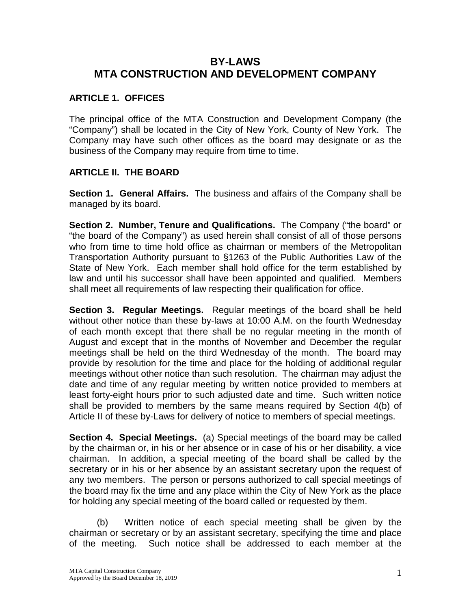# **BY-LAWS MTA CONSTRUCTION AND DEVELOPMENT COMPANY**

# **ARTICLE 1. OFFICES**

The principal office of the MTA Construction and Development Company (the "Company") shall be located in the City of New York, County of New York. The Company may have such other offices as the board may designate or as the business of the Company may require from time to time.

## **ARTICLE II. THE BOARD**

**Section 1. General Affairs.** The business and affairs of the Company shall be managed by its board.

**Section 2. Number, Tenure and Qualifications.** The Company ("the board" or "the board of the Company") as used herein shall consist of all of those persons who from time to time hold office as chairman or members of the Metropolitan Transportation Authority pursuant to §1263 of the Public Authorities Law of the State of New York. Each member shall hold office for the term established by law and until his successor shall have been appointed and qualified. Members shall meet all requirements of law respecting their qualification for office.

**Section 3. Regular Meetings.** Regular meetings of the board shall be held without other notice than these by-laws at 10:00 A.M. on the fourth Wednesday of each month except that there shall be no regular meeting in the month of August and except that in the months of November and December the regular meetings shall be held on the third Wednesday of the month. The board may provide by resolution for the time and place for the holding of additional regular meetings without other notice than such resolution. The chairman may adjust the date and time of any regular meeting by written notice provided to members at least forty-eight hours prior to such adjusted date and time. Such written notice shall be provided to members by the same means required by Section 4(b) of Article II of these by-Laws for delivery of notice to members of special meetings.

**Section 4. Special Meetings.** (a) Special meetings of the board may be called by the chairman or, in his or her absence or in case of his or her disability, a vice chairman. In addition, a special meeting of the board shall be called by the secretary or in his or her absence by an assistant secretary upon the request of any two members. The person or persons authorized to call special meetings of the board may fix the time and any place within the City of New York as the place for holding any special meeting of the board called or requested by them.

(b) Written notice of each special meeting shall be given by the chairman or secretary or by an assistant secretary, specifying the time and place of the meeting. Such notice shall be addressed to each member at the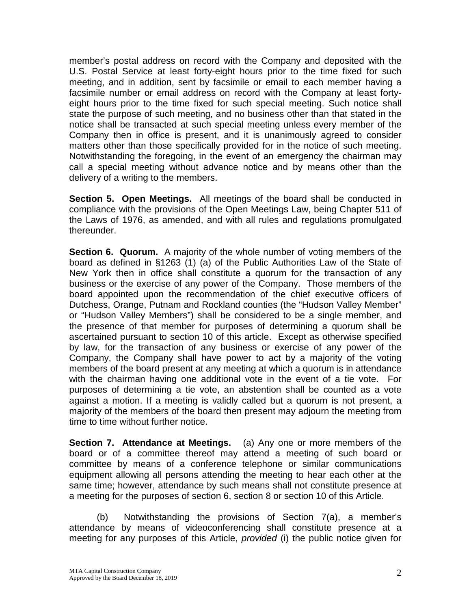member's postal address on record with the Company and deposited with the U.S. Postal Service at least forty-eight hours prior to the time fixed for such meeting, and in addition, sent by facsimile or email to each member having a facsimile number or email address on record with the Company at least fortyeight hours prior to the time fixed for such special meeting. Such notice shall state the purpose of such meeting, and no business other than that stated in the notice shall be transacted at such special meeting unless every member of the Company then in office is present, and it is unanimously agreed to consider matters other than those specifically provided for in the notice of such meeting. Notwithstanding the foregoing, in the event of an emergency the chairman may call a special meeting without advance notice and by means other than the delivery of a writing to the members.

**Section 5. Open Meetings.** All meetings of the board shall be conducted in compliance with the provisions of the Open Meetings Law, being Chapter 511 of the Laws of 1976, as amended, and with all rules and regulations promulgated thereunder.

**Section 6. Quorum.** A majority of the whole number of voting members of the board as defined in §1263 (1) (a) of the Public Authorities Law of the State of New York then in office shall constitute a quorum for the transaction of any business or the exercise of any power of the Company. Those members of the board appointed upon the recommendation of the chief executive officers of Dutchess, Orange, Putnam and Rockland counties (the "Hudson Valley Member" or "Hudson Valley Members") shall be considered to be a single member, and the presence of that member for purposes of determining a quorum shall be ascertained pursuant to section 10 of this article. Except as otherwise specified by law, for the transaction of any business or exercise of any power of the Company, the Company shall have power to act by a majority of the voting members of the board present at any meeting at which a quorum is in attendance with the chairman having one additional vote in the event of a tie vote. For purposes of determining a tie vote, an abstention shall be counted as a vote against a motion. If a meeting is validly called but a quorum is not present, a majority of the members of the board then present may adjourn the meeting from time to time without further notice.

**Section 7. Attendance at Meetings.** (a) Any one or more members of the board or of a committee thereof may attend a meeting of such board or committee by means of a conference telephone or similar communications equipment allowing all persons attending the meeting to hear each other at the same time; however, attendance by such means shall not constitute presence at a meeting for the purposes of section 6, section 8 or section 10 of this Article.

(b) Notwithstanding the provisions of Section 7(a), a member's attendance by means of videoconferencing shall constitute presence at a meeting for any purposes of this Article, *provided* (i) the public notice given for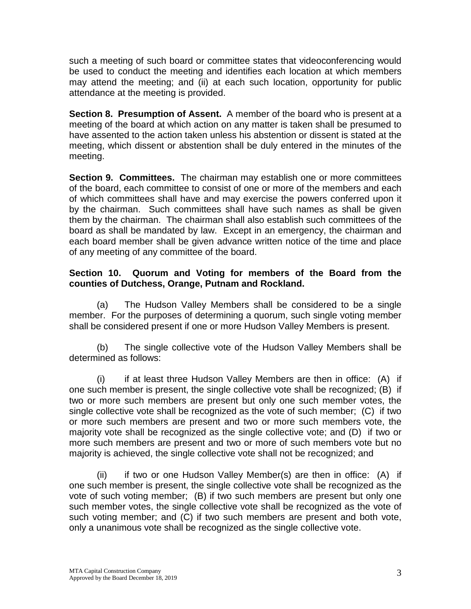such a meeting of such board or committee states that videoconferencing would be used to conduct the meeting and identifies each location at which members may attend the meeting; and (ii) at each such location, opportunity for public attendance at the meeting is provided.

**Section 8. Presumption of Assent.** A member of the board who is present at a meeting of the board at which action on any matter is taken shall be presumed to have assented to the action taken unless his abstention or dissent is stated at the meeting, which dissent or abstention shall be duly entered in the minutes of the meeting.

**Section 9. Committees.** The chairman may establish one or more committees of the board, each committee to consist of one or more of the members and each of which committees shall have and may exercise the powers conferred upon it by the chairman. Such committees shall have such names as shall be given them by the chairman. The chairman shall also establish such committees of the board as shall be mandated by law. Except in an emergency, the chairman and each board member shall be given advance written notice of the time and place of any meeting of any committee of the board.

## **Section 10. Quorum and Voting for members of the Board from the counties of Dutchess, Orange, Putnam and Rockland.**

(a) The Hudson Valley Members shall be considered to be a single member. For the purposes of determining a quorum, such single voting member shall be considered present if one or more Hudson Valley Members is present.

(b) The single collective vote of the Hudson Valley Members shall be determined as follows:

(i) if at least three Hudson Valley Members are then in office: (A) if one such member is present, the single collective vote shall be recognized; (B) if two or more such members are present but only one such member votes, the single collective vote shall be recognized as the vote of such member; (C) if two or more such members are present and two or more such members vote, the majority vote shall be recognized as the single collective vote; and (D) if two or more such members are present and two or more of such members vote but no majority is achieved, the single collective vote shall not be recognized; and

(ii) if two or one Hudson Valley Member(s) are then in office: (A) if one such member is present, the single collective vote shall be recognized as the vote of such voting member; (B) if two such members are present but only one such member votes, the single collective vote shall be recognized as the vote of such voting member; and (C) if two such members are present and both vote, only a unanimous vote shall be recognized as the single collective vote.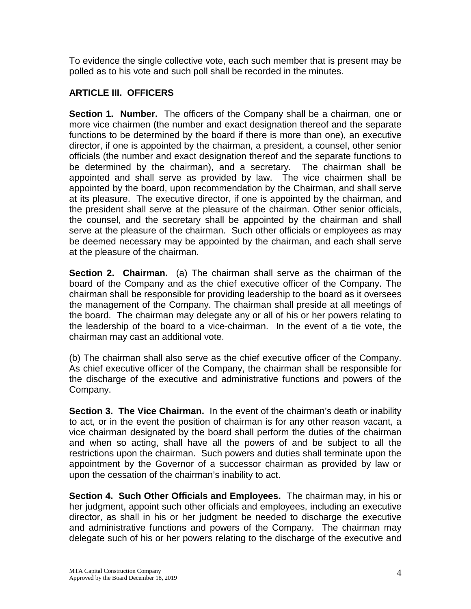To evidence the single collective vote, each such member that is present may be polled as to his vote and such poll shall be recorded in the minutes.

## **ARTICLE III. OFFICERS**

**Section 1. Number.** The officers of the Company shall be a chairman, one or more vice chairmen (the number and exact designation thereof and the separate functions to be determined by the board if there is more than one), an executive director, if one is appointed by the chairman, a president, a counsel, other senior officials (the number and exact designation thereof and the separate functions to be determined by the chairman), and a secretary. The chairman shall be appointed and shall serve as provided by law. The vice chairmen shall be appointed by the board, upon recommendation by the Chairman, and shall serve at its pleasure. The executive director, if one is appointed by the chairman, and the president shall serve at the pleasure of the chairman. Other senior officials, the counsel, and the secretary shall be appointed by the chairman and shall serve at the pleasure of the chairman. Such other officials or employees as may be deemed necessary may be appointed by the chairman, and each shall serve at the pleasure of the chairman.

**Section 2. Chairman.** (a) The chairman shall serve as the chairman of the board of the Company and as the chief executive officer of the Company. The chairman shall be responsible for providing leadership to the board as it oversees the management of the Company. The chairman shall preside at all meetings of the board. The chairman may delegate any or all of his or her powers relating to the leadership of the board to a vice-chairman. In the event of a tie vote, the chairman may cast an additional vote.

(b) The chairman shall also serve as the chief executive officer of the Company. As chief executive officer of the Company, the chairman shall be responsible for the discharge of the executive and administrative functions and powers of the Company.

**Section 3. The Vice Chairman.** In the event of the chairman's death or inability to act, or in the event the position of chairman is for any other reason vacant, a vice chairman designated by the board shall perform the duties of the chairman and when so acting, shall have all the powers of and be subject to all the restrictions upon the chairman. Such powers and duties shall terminate upon the appointment by the Governor of a successor chairman as provided by law or upon the cessation of the chairman's inability to act.

**Section 4. Such Other Officials and Employees.** The chairman may, in his or her judgment, appoint such other officials and employees, including an executive director, as shall in his or her judgment be needed to discharge the executive and administrative functions and powers of the Company. The chairman may delegate such of his or her powers relating to the discharge of the executive and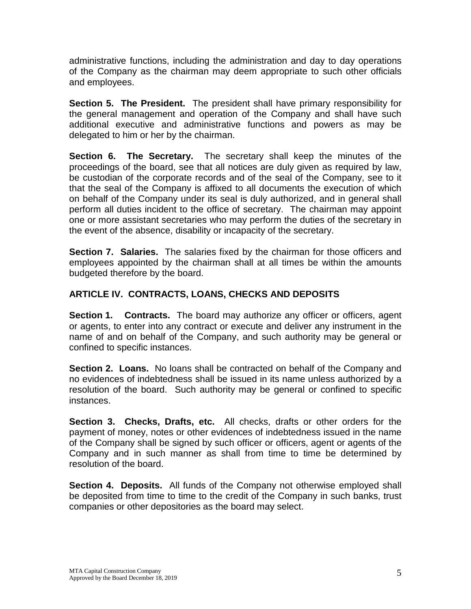administrative functions, including the administration and day to day operations of the Company as the chairman may deem appropriate to such other officials and employees.

**Section 5. The President.** The president shall have primary responsibility for the general management and operation of the Company and shall have such additional executive and administrative functions and powers as may be delegated to him or her by the chairman.

**Section 6. The Secretary.** The secretary shall keep the minutes of the proceedings of the board, see that all notices are duly given as required by law, be custodian of the corporate records and of the seal of the Company, see to it that the seal of the Company is affixed to all documents the execution of which on behalf of the Company under its seal is duly authorized, and in general shall perform all duties incident to the office of secretary. The chairman may appoint one or more assistant secretaries who may perform the duties of the secretary in the event of the absence, disability or incapacity of the secretary.

**Section 7. Salaries.** The salaries fixed by the chairman for those officers and employees appointed by the chairman shall at all times be within the amounts budgeted therefore by the board.

# **ARTICLE IV. CONTRACTS, LOANS, CHECKS AND DEPOSITS**

**Section 1. Contracts.** The board may authorize any officer or officers, agent or agents, to enter into any contract or execute and deliver any instrument in the name of and on behalf of the Company, and such authority may be general or confined to specific instances.

**Section 2. Loans.** No loans shall be contracted on behalf of the Company and no evidences of indebtedness shall be issued in its name unless authorized by a resolution of the board. Such authority may be general or confined to specific instances.

**Section 3. Checks, Drafts, etc.** All checks, drafts or other orders for the payment of money, notes or other evidences of indebtedness issued in the name of the Company shall be signed by such officer or officers, agent or agents of the Company and in such manner as shall from time to time be determined by resolution of the board.

**Section 4. Deposits.** All funds of the Company not otherwise employed shall be deposited from time to time to the credit of the Company in such banks, trust companies or other depositories as the board may select.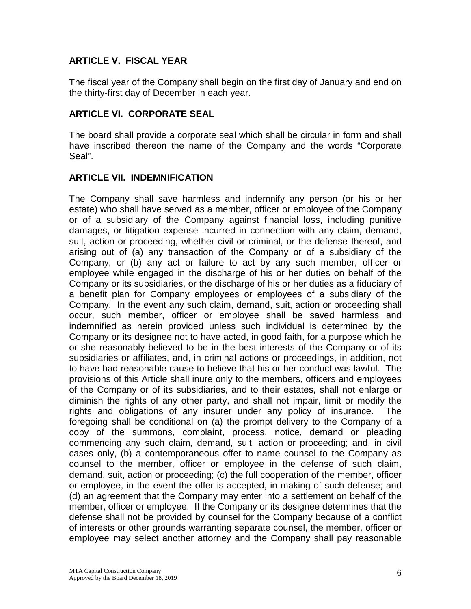## **ARTICLE V. FISCAL YEAR**

The fiscal year of the Company shall begin on the first day of January and end on the thirty-first day of December in each year.

#### **ARTICLE VI. CORPORATE SEAL**

The board shall provide a corporate seal which shall be circular in form and shall have inscribed thereon the name of the Company and the words "Corporate Seal".

### **ARTICLE VII. INDEMNIFICATION**

The Company shall save harmless and indemnify any person (or his or her estate) who shall have served as a member, officer or employee of the Company or of a subsidiary of the Company against financial loss, including punitive damages, or litigation expense incurred in connection with any claim, demand, suit, action or proceeding, whether civil or criminal, or the defense thereof, and arising out of (a) any transaction of the Company or of a subsidiary of the Company, or (b) any act or failure to act by any such member, officer or employee while engaged in the discharge of his or her duties on behalf of the Company or its subsidiaries, or the discharge of his or her duties as a fiduciary of a benefit plan for Company employees or employees of a subsidiary of the Company. In the event any such claim, demand, suit, action or proceeding shall occur, such member, officer or employee shall be saved harmless and indemnified as herein provided unless such individual is determined by the Company or its designee not to have acted, in good faith, for a purpose which he or she reasonably believed to be in the best interests of the Company or of its subsidiaries or affiliates, and, in criminal actions or proceedings, in addition, not to have had reasonable cause to believe that his or her conduct was lawful. The provisions of this Article shall inure only to the members, officers and employees of the Company or of its subsidiaries, and to their estates, shall not enlarge or diminish the rights of any other party, and shall not impair, limit or modify the rights and obligations of any insurer under any policy of insurance. The foregoing shall be conditional on (a) the prompt delivery to the Company of a copy of the summons, complaint, process, notice, demand or pleading commencing any such claim, demand, suit, action or proceeding; and, in civil cases only, (b) a contemporaneous offer to name counsel to the Company as counsel to the member, officer or employee in the defense of such claim, demand, suit, action or proceeding; (c) the full cooperation of the member, officer or employee, in the event the offer is accepted, in making of such defense; and (d) an agreement that the Company may enter into a settlement on behalf of the member, officer or employee. If the Company or its designee determines that the defense shall not be provided by counsel for the Company because of a conflict of interests or other grounds warranting separate counsel, the member, officer or employee may select another attorney and the Company shall pay reasonable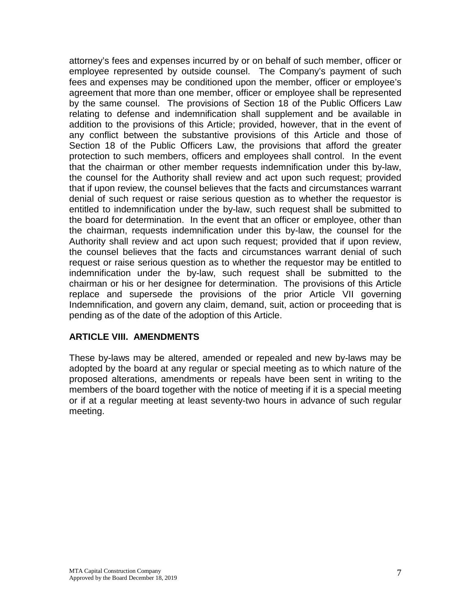attorney's fees and expenses incurred by or on behalf of such member, officer or employee represented by outside counsel. The Company's payment of such fees and expenses may be conditioned upon the member, officer or employee's agreement that more than one member, officer or employee shall be represented by the same counsel. The provisions of Section 18 of the Public Officers Law relating to defense and indemnification shall supplement and be available in addition to the provisions of this Article; provided, however, that in the event of any conflict between the substantive provisions of this Article and those of Section 18 of the Public Officers Law, the provisions that afford the greater protection to such members, officers and employees shall control. In the event that the chairman or other member requests indemnification under this by-law, the counsel for the Authority shall review and act upon such request; provided that if upon review, the counsel believes that the facts and circumstances warrant denial of such request or raise serious question as to whether the requestor is entitled to indemnification under the by-law, such request shall be submitted to the board for determination. In the event that an officer or employee, other than the chairman, requests indemnification under this by-law, the counsel for the Authority shall review and act upon such request; provided that if upon review, the counsel believes that the facts and circumstances warrant denial of such request or raise serious question as to whether the requestor may be entitled to indemnification under the by-law, such request shall be submitted to the chairman or his or her designee for determination. The provisions of this Article replace and supersede the provisions of the prior Article VII governing Indemnification, and govern any claim, demand, suit, action or proceeding that is pending as of the date of the adoption of this Article.

#### **ARTICLE VIII. AMENDMENTS**

These by-laws may be altered, amended or repealed and new by-laws may be adopted by the board at any regular or special meeting as to which nature of the proposed alterations, amendments or repeals have been sent in writing to the members of the board together with the notice of meeting if it is a special meeting or if at a regular meeting at least seventy-two hours in advance of such regular meeting.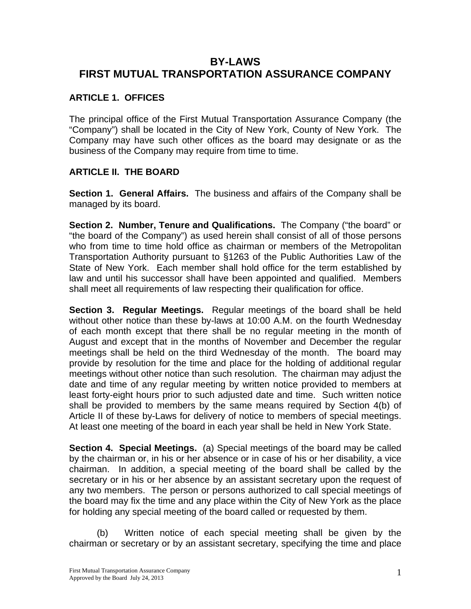# **BY-LAWS FIRST MUTUAL TRANSPORTATION ASSURANCE COMPANY**

## **ARTICLE 1. OFFICES**

The principal office of the First Mutual Transportation Assurance Company (the "Company") shall be located in the City of New York, County of New York. The Company may have such other offices as the board may designate or as the business of the Company may require from time to time.

### **ARTICLE II. THE BOARD**

**Section 1. General Affairs.** The business and affairs of the Company shall be managed by its board.

**Section 2. Number, Tenure and Qualifications.** The Company ("the board" or "the board of the Company") as used herein shall consist of all of those persons who from time to time hold office as chairman or members of the Metropolitan Transportation Authority pursuant to §1263 of the Public Authorities Law of the State of New York. Each member shall hold office for the term established by law and until his successor shall have been appointed and qualified. Members shall meet all requirements of law respecting their qualification for office.

**Section 3. Regular Meetings.** Regular meetings of the board shall be held without other notice than these by-laws at 10:00 A.M. on the fourth Wednesday of each month except that there shall be no regular meeting in the month of August and except that in the months of November and December the regular meetings shall be held on the third Wednesday of the month. The board may provide by resolution for the time and place for the holding of additional regular meetings without other notice than such resolution. The chairman may adjust the date and time of any regular meeting by written notice provided to members at least forty-eight hours prior to such adjusted date and time. Such written notice shall be provided to members by the same means required by Section 4(b) of Article II of these by-Laws for delivery of notice to members of special meetings. At least one meeting of the board in each year shall be held in New York State.

**Section 4. Special Meetings.** (a) Special meetings of the board may be called by the chairman or, in his or her absence or in case of his or her disability, a vice chairman. In addition, a special meeting of the board shall be called by the secretary or in his or her absence by an assistant secretary upon the request of any two members. The person or persons authorized to call special meetings of the board may fix the time and any place within the City of New York as the place for holding any special meeting of the board called or requested by them.

(b) Written notice of each special meeting shall be given by the chairman or secretary or by an assistant secretary, specifying the time and place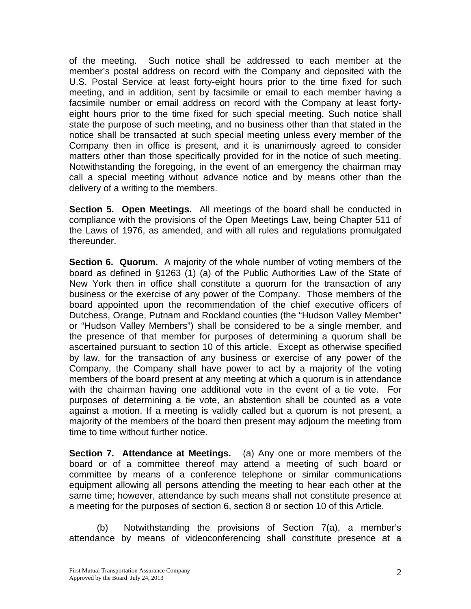of the meeting. Such notice shall be addressed to each member at the member's postal address on record with the Company and deposited with the U.S. Postal Service at least forty-eight hours prior to the time fixed for such meeting, and in addition, sent by facsimile or email to each member having a facsimile number or email address on record with the Company at least fortyeight hours prior to the time fixed for such special meeting. Such notice shall state the purpose of such meeting, and no business other than that stated in the notice shall be transacted at such special meeting unless every member of the Company then in office is present, and it is unanimously agreed to consider matters other than those specifically provided for in the notice of such meeting. Notwithstanding the foregoing, in the event of an emergency the chairman may call a special meeting without advance notice and by means other than the delivery of a writing to the members.

**Section 5. Open Meetings.** All meetings of the board shall be conducted in compliance with the provisions of the Open Meetings Law, being Chapter 511 of the Laws of 1976, as amended, and with all rules and regulations promulgated thereunder.

**Section 6. Quorum.** A majority of the whole number of voting members of the board as defined in §1263 (1) (a) of the Public Authorities Law of the State of New York then in office shall constitute a quorum for the transaction of any business or the exercise of any power of the Company. Those members of the board appointed upon the recommendation of the chief executive officers of Dutchess, Orange, Putnam and Rockland counties (the "Hudson Valley Member" or "Hudson Valley Members") shall be considered to be a single member, and the presence of that member for purposes of determining a quorum shall be ascertained pursuant to section 10 of this article. Except as otherwise specified by law, for the transaction of any business or exercise of any power of the Company, the Company shall have power to act by a majority of the voting members of the board present at any meeting at which a quorum is in attendance with the chairman having one additional vote in the event of a tie vote. For purposes of determining a tie vote, an abstention shall be counted as a vote against a motion. If a meeting is validly called but a quorum is not present, a majority of the members of the board then present may adjourn the meeting from time to time without further notice.

**Section 7. Attendance at Meetings.** (a) Any one or more members of the board or of a committee thereof may attend a meeting of such board or committee by means of a conference telephone or similar communications equipment allowing all persons attending the meeting to hear each other at the same time; however, attendance by such means shall not constitute presence at a meeting for the purposes of section 6, section 8 or section 10 of this Article.

(b) Notwithstanding the provisions of Section 7(a), a member's attendance by means of videoconferencing shall constitute presence at a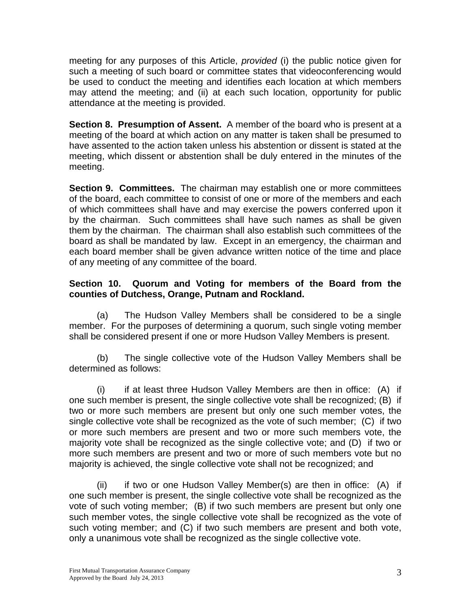meeting for any purposes of this Article, *provided* (i) the public notice given for such a meeting of such board or committee states that videoconferencing would be used to conduct the meeting and identifies each location at which members may attend the meeting; and (ii) at each such location, opportunity for public attendance at the meeting is provided.

**Section 8. Presumption of Assent.** A member of the board who is present at a meeting of the board at which action on any matter is taken shall be presumed to have assented to the action taken unless his abstention or dissent is stated at the meeting, which dissent or abstention shall be duly entered in the minutes of the meeting.

**Section 9. Committees.** The chairman may establish one or more committees of the board, each committee to consist of one or more of the members and each of which committees shall have and may exercise the powers conferred upon it by the chairman. Such committees shall have such names as shall be given them by the chairman. The chairman shall also establish such committees of the board as shall be mandated by law. Except in an emergency, the chairman and each board member shall be given advance written notice of the time and place of any meeting of any committee of the board.

## **Section 10. Quorum and Voting for members of the Board from the counties of Dutchess, Orange, Putnam and Rockland.**

 (a) The Hudson Valley Members shall be considered to be a single member. For the purposes of determining a quorum, such single voting member shall be considered present if one or more Hudson Valley Members is present.

(b) The single collective vote of the Hudson Valley Members shall be determined as follows:

(i) if at least three Hudson Valley Members are then in office: (A) if one such member is present, the single collective vote shall be recognized; (B) if two or more such members are present but only one such member votes, the single collective vote shall be recognized as the vote of such member; (C) if two or more such members are present and two or more such members vote, the majority vote shall be recognized as the single collective vote; and (D) if two or more such members are present and two or more of such members vote but no majority is achieved, the single collective vote shall not be recognized; and

 (ii) if two or one Hudson Valley Member(s) are then in office: (A) if one such member is present, the single collective vote shall be recognized as the vote of such voting member; (B) if two such members are present but only one such member votes, the single collective vote shall be recognized as the vote of such voting member; and (C) if two such members are present and both vote, only a unanimous vote shall be recognized as the single collective vote.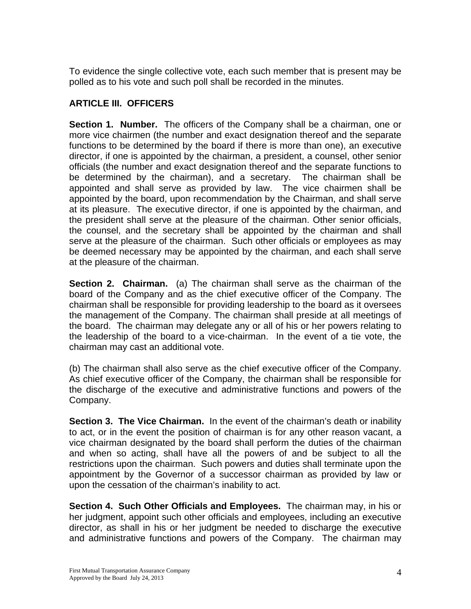To evidence the single collective vote, each such member that is present may be polled as to his vote and such poll shall be recorded in the minutes.

# **ARTICLE III. OFFICERS**

**Section 1. Number.** The officers of the Company shall be a chairman, one or more vice chairmen (the number and exact designation thereof and the separate functions to be determined by the board if there is more than one), an executive director, if one is appointed by the chairman, a president, a counsel, other senior officials (the number and exact designation thereof and the separate functions to be determined by the chairman), and a secretary. The chairman shall be appointed and shall serve as provided by law. The vice chairmen shall be appointed by the board, upon recommendation by the Chairman, and shall serve at its pleasure. The executive director, if one is appointed by the chairman, and the president shall serve at the pleasure of the chairman. Other senior officials, the counsel, and the secretary shall be appointed by the chairman and shall serve at the pleasure of the chairman. Such other officials or employees as may be deemed necessary may be appointed by the chairman, and each shall serve at the pleasure of the chairman.

**Section 2. Chairman.** (a) The chairman shall serve as the chairman of the board of the Company and as the chief executive officer of the Company. The chairman shall be responsible for providing leadership to the board as it oversees the management of the Company. The chairman shall preside at all meetings of the board. The chairman may delegate any or all of his or her powers relating to the leadership of the board to a vice-chairman. In the event of a tie vote, the chairman may cast an additional vote.

(b) The chairman shall also serve as the chief executive officer of the Company. As chief executive officer of the Company, the chairman shall be responsible for the discharge of the executive and administrative functions and powers of the Company.

**Section 3. The Vice Chairman.** In the event of the chairman's death or inability to act, or in the event the position of chairman is for any other reason vacant, a vice chairman designated by the board shall perform the duties of the chairman and when so acting, shall have all the powers of and be subject to all the restrictions upon the chairman. Such powers and duties shall terminate upon the appointment by the Governor of a successor chairman as provided by law or upon the cessation of the chairman's inability to act.

**Section 4. Such Other Officials and Employees.** The chairman may, in his or her judgment, appoint such other officials and employees, including an executive director, as shall in his or her judgment be needed to discharge the executive and administrative functions and powers of the Company. The chairman may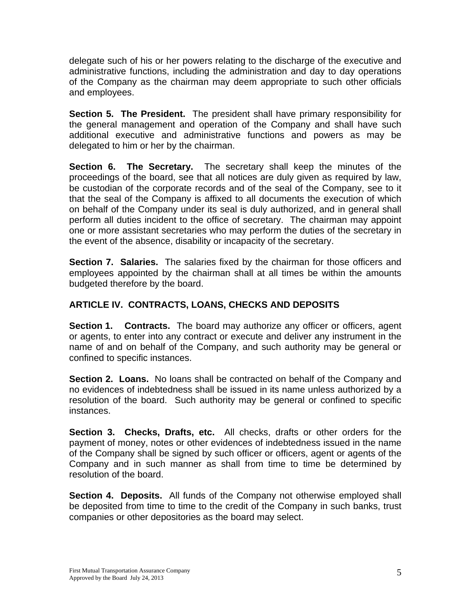delegate such of his or her powers relating to the discharge of the executive and administrative functions, including the administration and day to day operations of the Company as the chairman may deem appropriate to such other officials and employees.

**Section 5. The President.** The president shall have primary responsibility for the general management and operation of the Company and shall have such additional executive and administrative functions and powers as may be delegated to him or her by the chairman.

**Section 6. The Secretary.** The secretary shall keep the minutes of the proceedings of the board, see that all notices are duly given as required by law, be custodian of the corporate records and of the seal of the Company, see to it that the seal of the Company is affixed to all documents the execution of which on behalf of the Company under its seal is duly authorized, and in general shall perform all duties incident to the office of secretary. The chairman may appoint one or more assistant secretaries who may perform the duties of the secretary in the event of the absence, disability or incapacity of the secretary.

**Section 7. Salaries.** The salaries fixed by the chairman for those officers and employees appointed by the chairman shall at all times be within the amounts budgeted therefore by the board.

# **ARTICLE IV. CONTRACTS, LOANS, CHECKS AND DEPOSITS**

**Section 1. Contracts.** The board may authorize any officer or officers, agent or agents, to enter into any contract or execute and deliver any instrument in the name of and on behalf of the Company, and such authority may be general or confined to specific instances.

**Section 2. Loans.** No loans shall be contracted on behalf of the Company and no evidences of indebtedness shall be issued in its name unless authorized by a resolution of the board. Such authority may be general or confined to specific instances.

**Section 3. Checks, Drafts, etc.** All checks, drafts or other orders for the payment of money, notes or other evidences of indebtedness issued in the name of the Company shall be signed by such officer or officers, agent or agents of the Company and in such manner as shall from time to time be determined by resolution of the board.

**Section 4. Deposits.** All funds of the Company not otherwise employed shall be deposited from time to time to the credit of the Company in such banks, trust companies or other depositories as the board may select.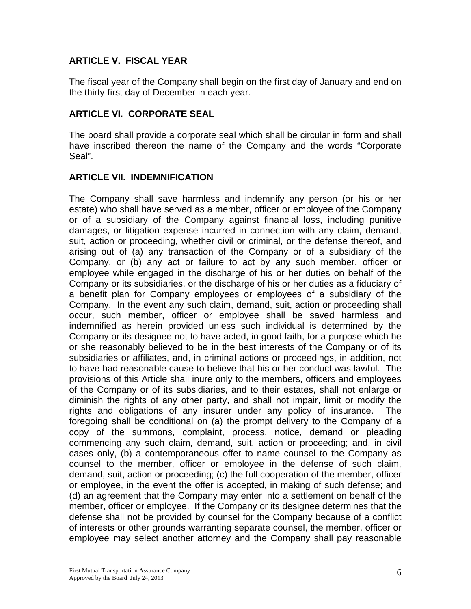## **ARTICLE V. FISCAL YEAR**

The fiscal year of the Company shall begin on the first day of January and end on the thirty-first day of December in each year.

#### **ARTICLE VI. CORPORATE SEAL**

The board shall provide a corporate seal which shall be circular in form and shall have inscribed thereon the name of the Company and the words "Corporate Seal".

#### **ARTICLE VII. INDEMNIFICATION**

The Company shall save harmless and indemnify any person (or his or her estate) who shall have served as a member, officer or employee of the Company or of a subsidiary of the Company against financial loss, including punitive damages, or litigation expense incurred in connection with any claim, demand, suit, action or proceeding, whether civil or criminal, or the defense thereof, and arising out of (a) any transaction of the Company or of a subsidiary of the Company, or (b) any act or failure to act by any such member, officer or employee while engaged in the discharge of his or her duties on behalf of the Company or its subsidiaries, or the discharge of his or her duties as a fiduciary of a benefit plan for Company employees or employees of a subsidiary of the Company. In the event any such claim, demand, suit, action or proceeding shall occur, such member, officer or employee shall be saved harmless and indemnified as herein provided unless such individual is determined by the Company or its designee not to have acted, in good faith, for a purpose which he or she reasonably believed to be in the best interests of the Company or of its subsidiaries or affiliates, and, in criminal actions or proceedings, in addition, not to have had reasonable cause to believe that his or her conduct was lawful. The provisions of this Article shall inure only to the members, officers and employees of the Company or of its subsidiaries, and to their estates, shall not enlarge or diminish the rights of any other party, and shall not impair, limit or modify the rights and obligations of any insurer under any policy of insurance. The foregoing shall be conditional on (a) the prompt delivery to the Company of a copy of the summons, complaint, process, notice, demand or pleading commencing any such claim, demand, suit, action or proceeding; and, in civil cases only, (b) a contemporaneous offer to name counsel to the Company as counsel to the member, officer or employee in the defense of such claim, demand, suit, action or proceeding; (c) the full cooperation of the member, officer or employee, in the event the offer is accepted, in making of such defense; and (d) an agreement that the Company may enter into a settlement on behalf of the member, officer or employee. If the Company or its designee determines that the defense shall not be provided by counsel for the Company because of a conflict of interests or other grounds warranting separate counsel, the member, officer or employee may select another attorney and the Company shall pay reasonable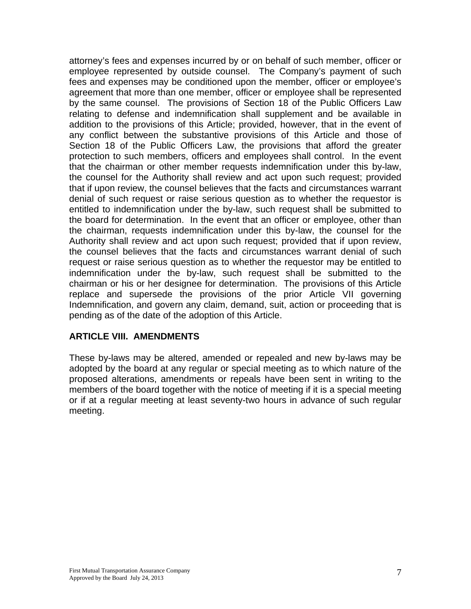attorney's fees and expenses incurred by or on behalf of such member, officer or employee represented by outside counsel. The Company's payment of such fees and expenses may be conditioned upon the member, officer or employee's agreement that more than one member, officer or employee shall be represented by the same counsel. The provisions of Section 18 of the Public Officers Law relating to defense and indemnification shall supplement and be available in addition to the provisions of this Article; provided, however, that in the event of any conflict between the substantive provisions of this Article and those of Section 18 of the Public Officers Law, the provisions that afford the greater protection to such members, officers and employees shall control. In the event that the chairman or other member requests indemnification under this by-law, the counsel for the Authority shall review and act upon such request; provided that if upon review, the counsel believes that the facts and circumstances warrant denial of such request or raise serious question as to whether the requestor is entitled to indemnification under the by-law, such request shall be submitted to the board for determination. In the event that an officer or employee, other than the chairman, requests indemnification under this by-law, the counsel for the Authority shall review and act upon such request; provided that if upon review, the counsel believes that the facts and circumstances warrant denial of such request or raise serious question as to whether the requestor may be entitled to indemnification under the by-law, such request shall be submitted to the chairman or his or her designee for determination. The provisions of this Article replace and supersede the provisions of the prior Article VII governing Indemnification, and govern any claim, demand, suit, action or proceeding that is pending as of the date of the adoption of this Article.

#### **ARTICLE VIII. AMENDMENTS**

These by-laws may be altered, amended or repealed and new by-laws may be adopted by the board at any regular or special meeting as to which nature of the proposed alterations, amendments or repeals have been sent in writing to the members of the board together with the notice of meeting if it is a special meeting or if at a regular meeting at least seventy-two hours in advance of such regular meeting.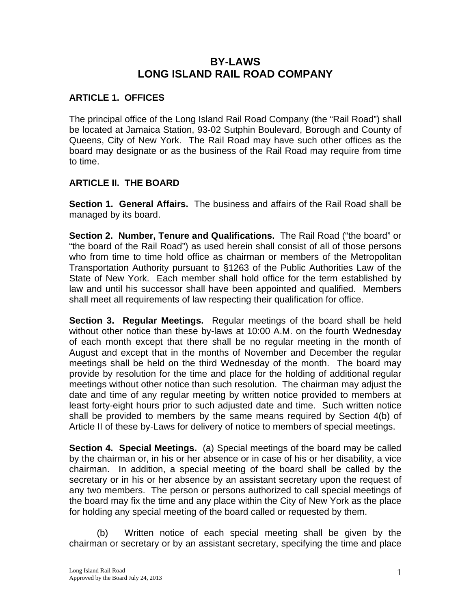# **BY-LAWS LONG ISLAND RAIL ROAD COMPANY**

## **ARTICLE 1. OFFICES**

The principal office of the Long Island Rail Road Company (the "Rail Road") shall be located at Jamaica Station, 93-02 Sutphin Boulevard, Borough and County of Queens, City of New York. The Rail Road may have such other offices as the board may designate or as the business of the Rail Road may require from time to time.

### **ARTICLE II. THE BOARD**

**Section 1. General Affairs.** The business and affairs of the Rail Road shall be managed by its board.

**Section 2. Number, Tenure and Qualifications.** The Rail Road ("the board" or "the board of the Rail Road") as used herein shall consist of all of those persons who from time to time hold office as chairman or members of the Metropolitan Transportation Authority pursuant to §1263 of the Public Authorities Law of the State of New York. Each member shall hold office for the term established by law and until his successor shall have been appointed and qualified. Members shall meet all requirements of law respecting their qualification for office.

**Section 3. Regular Meetings.** Regular meetings of the board shall be held without other notice than these by-laws at 10:00 A.M. on the fourth Wednesday of each month except that there shall be no regular meeting in the month of August and except that in the months of November and December the regular meetings shall be held on the third Wednesday of the month. The board may provide by resolution for the time and place for the holding of additional regular meetings without other notice than such resolution. The chairman may adjust the date and time of any regular meeting by written notice provided to members at least forty-eight hours prior to such adjusted date and time. Such written notice shall be provided to members by the same means required by Section 4(b) of Article II of these by-Laws for delivery of notice to members of special meetings.

**Section 4. Special Meetings.** (a) Special meetings of the board may be called by the chairman or, in his or her absence or in case of his or her disability, a vice chairman. In addition, a special meeting of the board shall be called by the secretary or in his or her absence by an assistant secretary upon the request of any two members. The person or persons authorized to call special meetings of the board may fix the time and any place within the City of New York as the place for holding any special meeting of the board called or requested by them.

(b) Written notice of each special meeting shall be given by the chairman or secretary or by an assistant secretary, specifying the time and place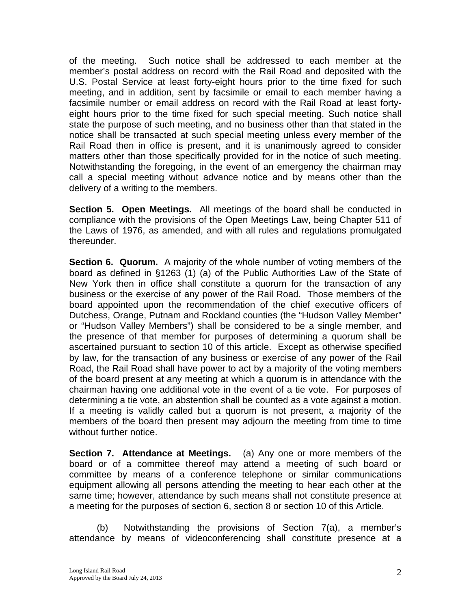of the meeting. Such notice shall be addressed to each member at the member's postal address on record with the Rail Road and deposited with the U.S. Postal Service at least forty-eight hours prior to the time fixed for such meeting, and in addition, sent by facsimile or email to each member having a facsimile number or email address on record with the Rail Road at least fortyeight hours prior to the time fixed for such special meeting. Such notice shall state the purpose of such meeting, and no business other than that stated in the notice shall be transacted at such special meeting unless every member of the Rail Road then in office is present, and it is unanimously agreed to consider matters other than those specifically provided for in the notice of such meeting. Notwithstanding the foregoing, in the event of an emergency the chairman may call a special meeting without advance notice and by means other than the delivery of a writing to the members.

**Section 5. Open Meetings.** All meetings of the board shall be conducted in compliance with the provisions of the Open Meetings Law, being Chapter 511 of the Laws of 1976, as amended, and with all rules and regulations promulgated thereunder.

**Section 6. Quorum.** A majority of the whole number of voting members of the board as defined in §1263 (1) (a) of the Public Authorities Law of the State of New York then in office shall constitute a quorum for the transaction of any business or the exercise of any power of the Rail Road. Those members of the board appointed upon the recommendation of the chief executive officers of Dutchess, Orange, Putnam and Rockland counties (the "Hudson Valley Member" or "Hudson Valley Members") shall be considered to be a single member, and the presence of that member for purposes of determining a quorum shall be ascertained pursuant to section 10 of this article. Except as otherwise specified by law, for the transaction of any business or exercise of any power of the Rail Road, the Rail Road shall have power to act by a majority of the voting members of the board present at any meeting at which a quorum is in attendance with the chairman having one additional vote in the event of a tie vote. For purposes of determining a tie vote, an abstention shall be counted as a vote against a motion. If a meeting is validly called but a quorum is not present, a majority of the members of the board then present may adjourn the meeting from time to time without further notice.

**Section 7. Attendance at Meetings.** (a) Any one or more members of the board or of a committee thereof may attend a meeting of such board or committee by means of a conference telephone or similar communications equipment allowing all persons attending the meeting to hear each other at the same time; however, attendance by such means shall not constitute presence at a meeting for the purposes of section 6, section 8 or section 10 of this Article.

(b) Notwithstanding the provisions of Section 7(a), a member's attendance by means of videoconferencing shall constitute presence at a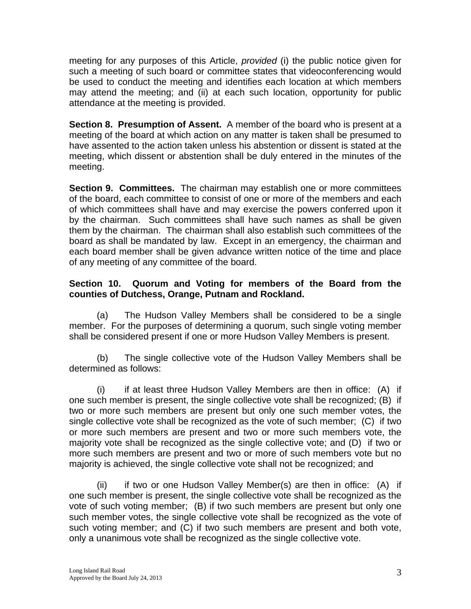meeting for any purposes of this Article, *provided* (i) the public notice given for such a meeting of such board or committee states that videoconferencing would be used to conduct the meeting and identifies each location at which members may attend the meeting; and (ii) at each such location, opportunity for public attendance at the meeting is provided.

**Section 8. Presumption of Assent.** A member of the board who is present at a meeting of the board at which action on any matter is taken shall be presumed to have assented to the action taken unless his abstention or dissent is stated at the meeting, which dissent or abstention shall be duly entered in the minutes of the meeting.

**Section 9. Committees.** The chairman may establish one or more committees of the board, each committee to consist of one or more of the members and each of which committees shall have and may exercise the powers conferred upon it by the chairman. Such committees shall have such names as shall be given them by the chairman. The chairman shall also establish such committees of the board as shall be mandated by law. Except in an emergency, the chairman and each board member shall be given advance written notice of the time and place of any meeting of any committee of the board.

## **Section 10. Quorum and Voting for members of the Board from the counties of Dutchess, Orange, Putnam and Rockland.**

 (a) The Hudson Valley Members shall be considered to be a single member. For the purposes of determining a quorum, such single voting member shall be considered present if one or more Hudson Valley Members is present.

(b) The single collective vote of the Hudson Valley Members shall be determined as follows:

(i) if at least three Hudson Valley Members are then in office: (A) if one such member is present, the single collective vote shall be recognized; (B) if two or more such members are present but only one such member votes, the single collective vote shall be recognized as the vote of such member; (C) if two or more such members are present and two or more such members vote, the majority vote shall be recognized as the single collective vote; and (D) if two or more such members are present and two or more of such members vote but no majority is achieved, the single collective vote shall not be recognized; and

 (ii) if two or one Hudson Valley Member(s) are then in office: (A) if one such member is present, the single collective vote shall be recognized as the vote of such voting member; (B) if two such members are present but only one such member votes, the single collective vote shall be recognized as the vote of such voting member; and (C) if two such members are present and both vote, only a unanimous vote shall be recognized as the single collective vote.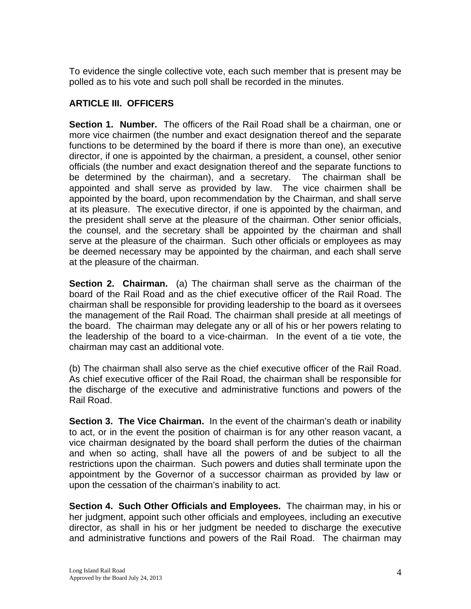To evidence the single collective vote, each such member that is present may be polled as to his vote and such poll shall be recorded in the minutes.

# **ARTICLE III. OFFICERS**

**Section 1. Number.** The officers of the Rail Road shall be a chairman, one or more vice chairmen (the number and exact designation thereof and the separate functions to be determined by the board if there is more than one), an executive director, if one is appointed by the chairman, a president, a counsel, other senior officials (the number and exact designation thereof and the separate functions to be determined by the chairman), and a secretary. The chairman shall be appointed and shall serve as provided by law. The vice chairmen shall be appointed by the board, upon recommendation by the Chairman, and shall serve at its pleasure. The executive director, if one is appointed by the chairman, and the president shall serve at the pleasure of the chairman. Other senior officials, the counsel, and the secretary shall be appointed by the chairman and shall serve at the pleasure of the chairman. Such other officials or employees as may be deemed necessary may be appointed by the chairman, and each shall serve at the pleasure of the chairman.

**Section 2. Chairman.** (a) The chairman shall serve as the chairman of the board of the Rail Road and as the chief executive officer of the Rail Road. The chairman shall be responsible for providing leadership to the board as it oversees the management of the Rail Road. The chairman shall preside at all meetings of the board. The chairman may delegate any or all of his or her powers relating to the leadership of the board to a vice-chairman. In the event of a tie vote, the chairman may cast an additional vote.

(b) The chairman shall also serve as the chief executive officer of the Rail Road. As chief executive officer of the Rail Road, the chairman shall be responsible for the discharge of the executive and administrative functions and powers of the Rail Road.

**Section 3. The Vice Chairman.** In the event of the chairman's death or inability to act, or in the event the position of chairman is for any other reason vacant, a vice chairman designated by the board shall perform the duties of the chairman and when so acting, shall have all the powers of and be subject to all the restrictions upon the chairman. Such powers and duties shall terminate upon the appointment by the Governor of a successor chairman as provided by law or upon the cessation of the chairman's inability to act.

**Section 4. Such Other Officials and Employees.** The chairman may, in his or her judgment, appoint such other officials and employees, including an executive director, as shall in his or her judgment be needed to discharge the executive and administrative functions and powers of the Rail Road. The chairman may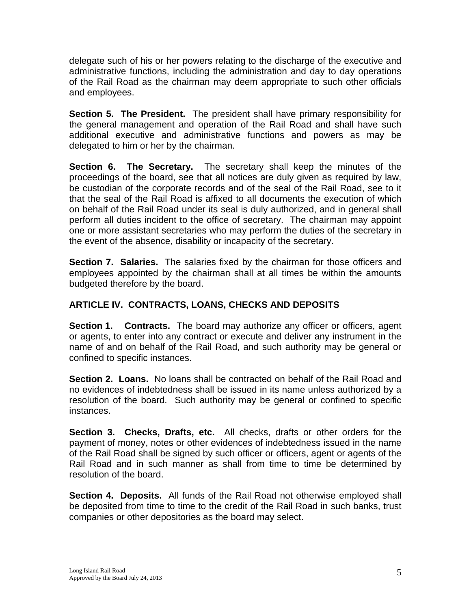delegate such of his or her powers relating to the discharge of the executive and administrative functions, including the administration and day to day operations of the Rail Road as the chairman may deem appropriate to such other officials and employees.

**Section 5. The President.** The president shall have primary responsibility for the general management and operation of the Rail Road and shall have such additional executive and administrative functions and powers as may be delegated to him or her by the chairman.

**Section 6. The Secretary.** The secretary shall keep the minutes of the proceedings of the board, see that all notices are duly given as required by law, be custodian of the corporate records and of the seal of the Rail Road, see to it that the seal of the Rail Road is affixed to all documents the execution of which on behalf of the Rail Road under its seal is duly authorized, and in general shall perform all duties incident to the office of secretary. The chairman may appoint one or more assistant secretaries who may perform the duties of the secretary in the event of the absence, disability or incapacity of the secretary.

**Section 7. Salaries.** The salaries fixed by the chairman for those officers and employees appointed by the chairman shall at all times be within the amounts budgeted therefore by the board.

# **ARTICLE IV. CONTRACTS, LOANS, CHECKS AND DEPOSITS**

**Section 1. Contracts.** The board may authorize any officer or officers, agent or agents, to enter into any contract or execute and deliver any instrument in the name of and on behalf of the Rail Road, and such authority may be general or confined to specific instances.

**Section 2. Loans.** No loans shall be contracted on behalf of the Rail Road and no evidences of indebtedness shall be issued in its name unless authorized by a resolution of the board. Such authority may be general or confined to specific instances.

**Section 3. Checks, Drafts, etc.** All checks, drafts or other orders for the payment of money, notes or other evidences of indebtedness issued in the name of the Rail Road shall be signed by such officer or officers, agent or agents of the Rail Road and in such manner as shall from time to time be determined by resolution of the board.

**Section 4. Deposits.** All funds of the Rail Road not otherwise employed shall be deposited from time to time to the credit of the Rail Road in such banks, trust companies or other depositories as the board may select.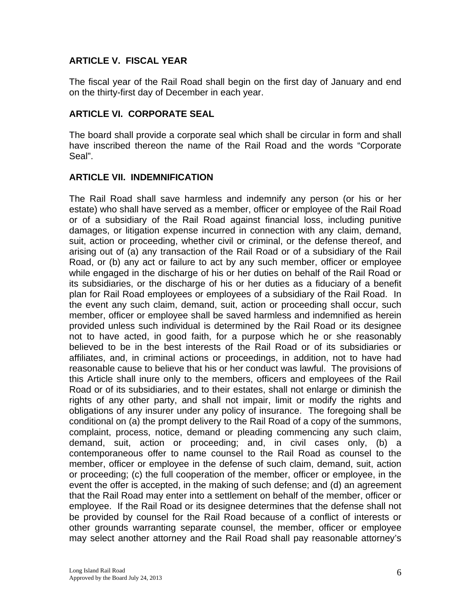## **ARTICLE V. FISCAL YEAR**

The fiscal year of the Rail Road shall begin on the first day of January and end on the thirty-first day of December in each year.

#### **ARTICLE VI. CORPORATE SEAL**

The board shall provide a corporate seal which shall be circular in form and shall have inscribed thereon the name of the Rail Road and the words "Corporate Seal".

#### **ARTICLE VII. INDEMNIFICATION**

The Rail Road shall save harmless and indemnify any person (or his or her estate) who shall have served as a member, officer or employee of the Rail Road or of a subsidiary of the Rail Road against financial loss, including punitive damages, or litigation expense incurred in connection with any claim, demand, suit, action or proceeding, whether civil or criminal, or the defense thereof, and arising out of (a) any transaction of the Rail Road or of a subsidiary of the Rail Road, or (b) any act or failure to act by any such member, officer or employee while engaged in the discharge of his or her duties on behalf of the Rail Road or its subsidiaries, or the discharge of his or her duties as a fiduciary of a benefit plan for Rail Road employees or employees of a subsidiary of the Rail Road. In the event any such claim, demand, suit, action or proceeding shall occur, such member, officer or employee shall be saved harmless and indemnified as herein provided unless such individual is determined by the Rail Road or its designee not to have acted, in good faith, for a purpose which he or she reasonably believed to be in the best interests of the Rail Road or of its subsidiaries or affiliates, and, in criminal actions or proceedings, in addition, not to have had reasonable cause to believe that his or her conduct was lawful. The provisions of this Article shall inure only to the members, officers and employees of the Rail Road or of its subsidiaries, and to their estates, shall not enlarge or diminish the rights of any other party, and shall not impair, limit or modify the rights and obligations of any insurer under any policy of insurance. The foregoing shall be conditional on (a) the prompt delivery to the Rail Road of a copy of the summons, complaint, process, notice, demand or pleading commencing any such claim, demand, suit, action or proceeding; and, in civil cases only, (b) a contemporaneous offer to name counsel to the Rail Road as counsel to the member, officer or employee in the defense of such claim, demand, suit, action or proceeding; (c) the full cooperation of the member, officer or employee, in the event the offer is accepted, in the making of such defense; and (d) an agreement that the Rail Road may enter into a settlement on behalf of the member, officer or employee. If the Rail Road or its designee determines that the defense shall not be provided by counsel for the Rail Road because of a conflict of interests or other grounds warranting separate counsel, the member, officer or employee may select another attorney and the Rail Road shall pay reasonable attorney's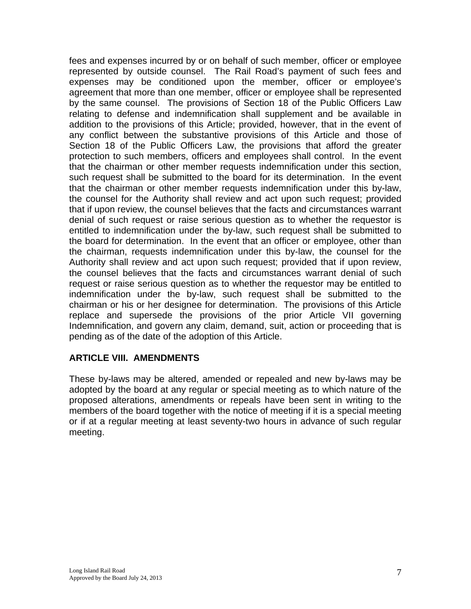fees and expenses incurred by or on behalf of such member, officer or employee represented by outside counsel. The Rail Road's payment of such fees and expenses may be conditioned upon the member, officer or employee's agreement that more than one member, officer or employee shall be represented by the same counsel. The provisions of Section 18 of the Public Officers Law relating to defense and indemnification shall supplement and be available in addition to the provisions of this Article; provided, however, that in the event of any conflict between the substantive provisions of this Article and those of Section 18 of the Public Officers Law, the provisions that afford the greater protection to such members, officers and employees shall control. In the event that the chairman or other member requests indemnification under this section, such request shall be submitted to the board for its determination. In the event that the chairman or other member requests indemnification under this by-law, the counsel for the Authority shall review and act upon such request; provided that if upon review, the counsel believes that the facts and circumstances warrant denial of such request or raise serious question as to whether the requestor is entitled to indemnification under the by-law, such request shall be submitted to the board for determination. In the event that an officer or employee, other than the chairman, requests indemnification under this by-law, the counsel for the Authority shall review and act upon such request; provided that if upon review, the counsel believes that the facts and circumstances warrant denial of such request or raise serious question as to whether the requestor may be entitled to indemnification under the by-law, such request shall be submitted to the chairman or his or her designee for determination. The provisions of this Article replace and supersede the provisions of the prior Article VII governing Indemnification, and govern any claim, demand, suit, action or proceeding that is pending as of the date of the adoption of this Article.

#### **ARTICLE VIII. AMENDMENTS**

These by-laws may be altered, amended or repealed and new by-laws may be adopted by the board at any regular or special meeting as to which nature of the proposed alterations, amendments or repeals have been sent in writing to the members of the board together with the notice of meeting if it is a special meeting or if at a regular meeting at least seventy-two hours in advance of such regular meeting.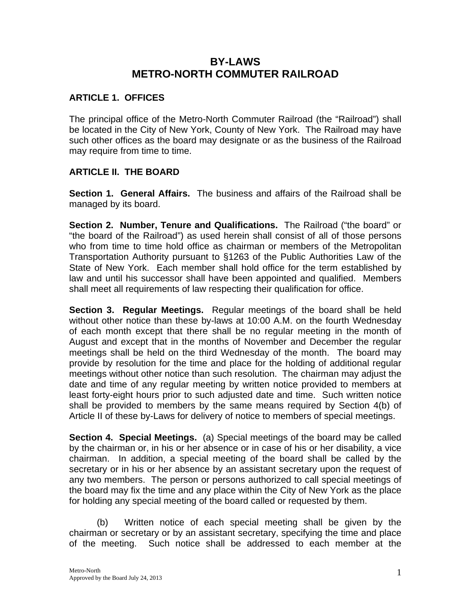# **BY-LAWS METRO-NORTH COMMUTER RAILROAD**

### **ARTICLE 1. OFFICES**

The principal office of the Metro-North Commuter Railroad (the "Railroad") shall be located in the City of New York, County of New York. The Railroad may have such other offices as the board may designate or as the business of the Railroad may require from time to time.

### **ARTICLE II. THE BOARD**

**Section 1. General Affairs.** The business and affairs of the Railroad shall be managed by its board.

**Section 2. Number, Tenure and Qualifications.** The Railroad ("the board" or "the board of the Railroad") as used herein shall consist of all of those persons who from time to time hold office as chairman or members of the Metropolitan Transportation Authority pursuant to §1263 of the Public Authorities Law of the State of New York. Each member shall hold office for the term established by law and until his successor shall have been appointed and qualified. Members shall meet all requirements of law respecting their qualification for office.

**Section 3. Regular Meetings.** Regular meetings of the board shall be held without other notice than these by-laws at 10:00 A.M. on the fourth Wednesday of each month except that there shall be no regular meeting in the month of August and except that in the months of November and December the regular meetings shall be held on the third Wednesday of the month. The board may provide by resolution for the time and place for the holding of additional regular meetings without other notice than such resolution. The chairman may adjust the date and time of any regular meeting by written notice provided to members at least forty-eight hours prior to such adjusted date and time. Such written notice shall be provided to members by the same means required by Section 4(b) of Article II of these by-Laws for delivery of notice to members of special meetings.

**Section 4. Special Meetings.** (a) Special meetings of the board may be called by the chairman or, in his or her absence or in case of his or her disability, a vice chairman. In addition, a special meeting of the board shall be called by the secretary or in his or her absence by an assistant secretary upon the request of any two members. The person or persons authorized to call special meetings of the board may fix the time and any place within the City of New York as the place for holding any special meeting of the board called or requested by them.

(b) Written notice of each special meeting shall be given by the chairman or secretary or by an assistant secretary, specifying the time and place of the meeting. Such notice shall be addressed to each member at the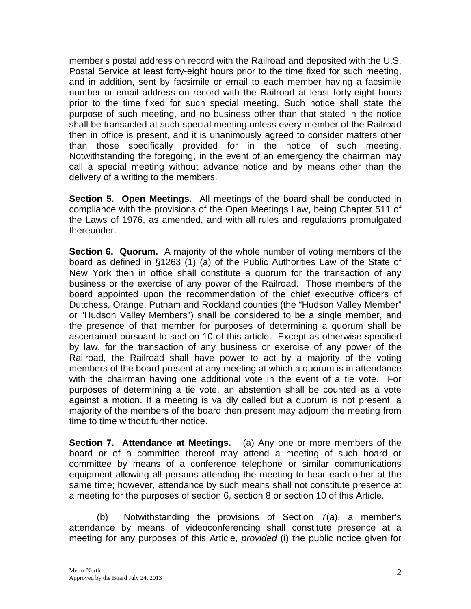member's postal address on record with the Railroad and deposited with the U.S. Postal Service at least forty-eight hours prior to the time fixed for such meeting, and in addition, sent by facsimile or email to each member having a facsimile number or email address on record with the Railroad at least forty-eight hours prior to the time fixed for such special meeting. Such notice shall state the purpose of such meeting, and no business other than that stated in the notice shall be transacted at such special meeting unless every member of the Railroad then in office is present, and it is unanimously agreed to consider matters other than those specifically provided for in the notice of such meeting. Notwithstanding the foregoing, in the event of an emergency the chairman may call a special meeting without advance notice and by means other than the delivery of a writing to the members.

**Section 5. Open Meetings.** All meetings of the board shall be conducted in compliance with the provisions of the Open Meetings Law, being Chapter 511 of the Laws of 1976, as amended, and with all rules and regulations promulgated thereunder.

**Section 6. Quorum.** A majority of the whole number of voting members of the board as defined in §1263 (1) (a) of the Public Authorities Law of the State of New York then in office shall constitute a quorum for the transaction of any business or the exercise of any power of the Railroad. Those members of the board appointed upon the recommendation of the chief executive officers of Dutchess, Orange, Putnam and Rockland counties (the "Hudson Valley Member" or "Hudson Valley Members") shall be considered to be a single member, and the presence of that member for purposes of determining a quorum shall be ascertained pursuant to section 10 of this article. Except as otherwise specified by law, for the transaction of any business or exercise of any power of the Railroad, the Railroad shall have power to act by a majority of the voting members of the board present at any meeting at which a quorum is in attendance with the chairman having one additional vote in the event of a tie vote. For purposes of determining a tie vote, an abstention shall be counted as a vote against a motion. If a meeting is validly called but a quorum is not present, a majority of the members of the board then present may adjourn the meeting from time to time without further notice.

**Section 7. Attendance at Meetings.** (a) Any one or more members of the board or of a committee thereof may attend a meeting of such board or committee by means of a conference telephone or similar communications equipment allowing all persons attending the meeting to hear each other at the same time; however, attendance by such means shall not constitute presence at a meeting for the purposes of section 6, section 8 or section 10 of this Article.

(b) Notwithstanding the provisions of Section 7(a), a member's attendance by means of videoconferencing shall constitute presence at a meeting for any purposes of this Article, *provided* (i) the public notice given for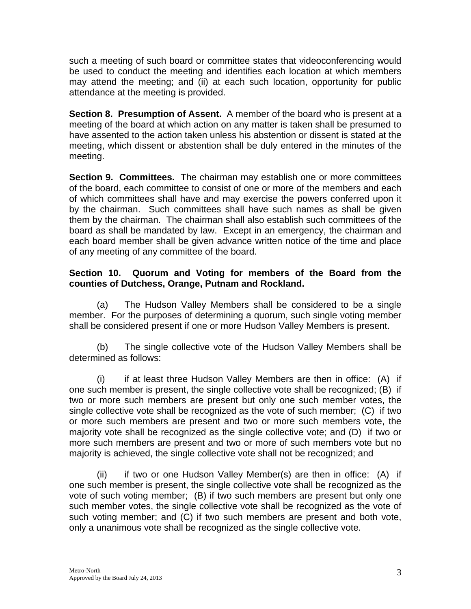such a meeting of such board or committee states that videoconferencing would be used to conduct the meeting and identifies each location at which members may attend the meeting; and (ii) at each such location, opportunity for public attendance at the meeting is provided.

**Section 8. Presumption of Assent.** A member of the board who is present at a meeting of the board at which action on any matter is taken shall be presumed to have assented to the action taken unless his abstention or dissent is stated at the meeting, which dissent or abstention shall be duly entered in the minutes of the meeting.

**Section 9. Committees.** The chairman may establish one or more committees of the board, each committee to consist of one or more of the members and each of which committees shall have and may exercise the powers conferred upon it by the chairman. Such committees shall have such names as shall be given them by the chairman. The chairman shall also establish such committees of the board as shall be mandated by law. Except in an emergency, the chairman and each board member shall be given advance written notice of the time and place of any meeting of any committee of the board.

### **Section 10. Quorum and Voting for members of the Board from the counties of Dutchess, Orange, Putnam and Rockland.**

 (a) The Hudson Valley Members shall be considered to be a single member. For the purposes of determining a quorum, such single voting member shall be considered present if one or more Hudson Valley Members is present.

(b) The single collective vote of the Hudson Valley Members shall be determined as follows:

(i) if at least three Hudson Valley Members are then in office: (A) if one such member is present, the single collective vote shall be recognized; (B) if two or more such members are present but only one such member votes, the single collective vote shall be recognized as the vote of such member; (C) if two or more such members are present and two or more such members vote, the majority vote shall be recognized as the single collective vote; and (D) if two or more such members are present and two or more of such members vote but no majority is achieved, the single collective vote shall not be recognized; and

 (ii) if two or one Hudson Valley Member(s) are then in office: (A) if one such member is present, the single collective vote shall be recognized as the vote of such voting member; (B) if two such members are present but only one such member votes, the single collective vote shall be recognized as the vote of such voting member; and (C) if two such members are present and both vote, only a unanimous vote shall be recognized as the single collective vote.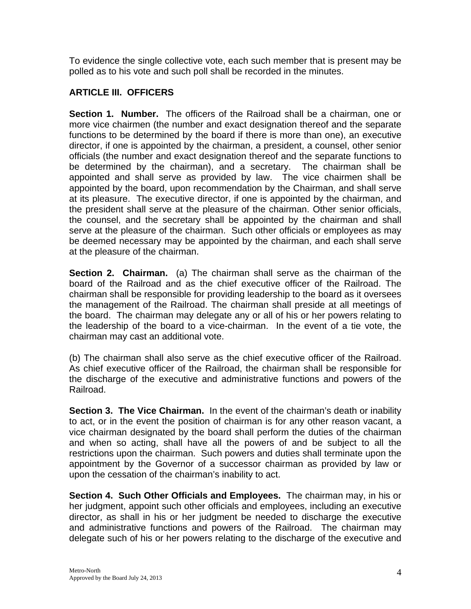To evidence the single collective vote, each such member that is present may be polled as to his vote and such poll shall be recorded in the minutes.

## **ARTICLE III. OFFICERS**

**Section 1. Number.** The officers of the Railroad shall be a chairman, one or more vice chairmen (the number and exact designation thereof and the separate functions to be determined by the board if there is more than one), an executive director, if one is appointed by the chairman, a president, a counsel, other senior officials (the number and exact designation thereof and the separate functions to be determined by the chairman), and a secretary. The chairman shall be appointed and shall serve as provided by law. The vice chairmen shall be appointed by the board, upon recommendation by the Chairman, and shall serve at its pleasure. The executive director, if one is appointed by the chairman, and the president shall serve at the pleasure of the chairman. Other senior officials, the counsel, and the secretary shall be appointed by the chairman and shall serve at the pleasure of the chairman. Such other officials or employees as may be deemed necessary may be appointed by the chairman, and each shall serve at the pleasure of the chairman.

**Section 2. Chairman.** (a) The chairman shall serve as the chairman of the board of the Railroad and as the chief executive officer of the Railroad. The chairman shall be responsible for providing leadership to the board as it oversees the management of the Railroad. The chairman shall preside at all meetings of the board. The chairman may delegate any or all of his or her powers relating to the leadership of the board to a vice-chairman. In the event of a tie vote, the chairman may cast an additional vote.

(b) The chairman shall also serve as the chief executive officer of the Railroad. As chief executive officer of the Railroad, the chairman shall be responsible for the discharge of the executive and administrative functions and powers of the Railroad.

**Section 3. The Vice Chairman.** In the event of the chairman's death or inability to act, or in the event the position of chairman is for any other reason vacant, a vice chairman designated by the board shall perform the duties of the chairman and when so acting, shall have all the powers of and be subject to all the restrictions upon the chairman. Such powers and duties shall terminate upon the appointment by the Governor of a successor chairman as provided by law or upon the cessation of the chairman's inability to act.

**Section 4. Such Other Officials and Employees.** The chairman may, in his or her judgment, appoint such other officials and employees, including an executive director, as shall in his or her judgment be needed to discharge the executive and administrative functions and powers of the Railroad. The chairman may delegate such of his or her powers relating to the discharge of the executive and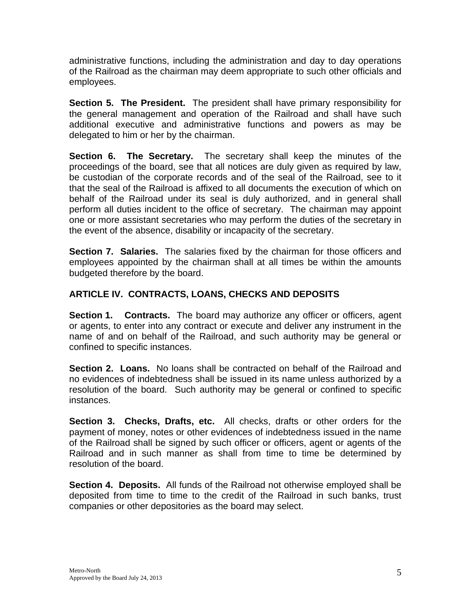administrative functions, including the administration and day to day operations of the Railroad as the chairman may deem appropriate to such other officials and employees.

**Section 5. The President.** The president shall have primary responsibility for the general management and operation of the Railroad and shall have such additional executive and administrative functions and powers as may be delegated to him or her by the chairman.

**Section 6. The Secretary.** The secretary shall keep the minutes of the proceedings of the board, see that all notices are duly given as required by law, be custodian of the corporate records and of the seal of the Railroad, see to it that the seal of the Railroad is affixed to all documents the execution of which on behalf of the Railroad under its seal is duly authorized, and in general shall perform all duties incident to the office of secretary. The chairman may appoint one or more assistant secretaries who may perform the duties of the secretary in the event of the absence, disability or incapacity of the secretary.

**Section 7. Salaries.** The salaries fixed by the chairman for those officers and employees appointed by the chairman shall at all times be within the amounts budgeted therefore by the board.

# **ARTICLE IV. CONTRACTS, LOANS, CHECKS AND DEPOSITS**

**Section 1. Contracts.** The board may authorize any officer or officers, agent or agents, to enter into any contract or execute and deliver any instrument in the name of and on behalf of the Railroad, and such authority may be general or confined to specific instances.

**Section 2. Loans.** No loans shall be contracted on behalf of the Railroad and no evidences of indebtedness shall be issued in its name unless authorized by a resolution of the board. Such authority may be general or confined to specific instances.

**Section 3. Checks, Drafts, etc.** All checks, drafts or other orders for the payment of money, notes or other evidences of indebtedness issued in the name of the Railroad shall be signed by such officer or officers, agent or agents of the Railroad and in such manner as shall from time to time be determined by resolution of the board.

**Section 4. Deposits.** All funds of the Railroad not otherwise employed shall be deposited from time to time to the credit of the Railroad in such banks, trust companies or other depositories as the board may select.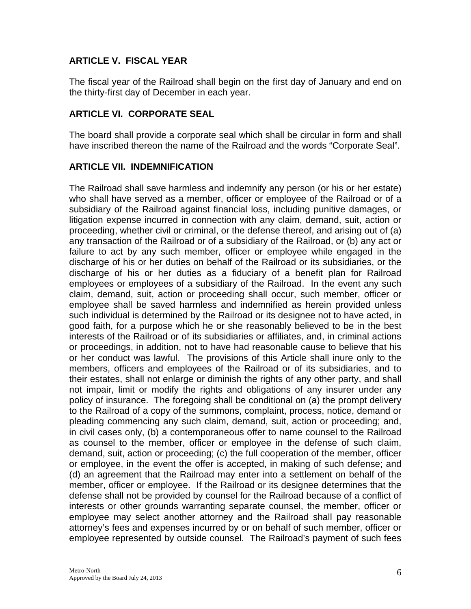## **ARTICLE V. FISCAL YEAR**

The fiscal year of the Railroad shall begin on the first day of January and end on the thirty-first day of December in each year.

#### **ARTICLE VI. CORPORATE SEAL**

The board shall provide a corporate seal which shall be circular in form and shall have inscribed thereon the name of the Railroad and the words "Corporate Seal".

#### **ARTICLE VII. INDEMNIFICATION**

The Railroad shall save harmless and indemnify any person (or his or her estate) who shall have served as a member, officer or employee of the Railroad or of a subsidiary of the Railroad against financial loss, including punitive damages, or litigation expense incurred in connection with any claim, demand, suit, action or proceeding, whether civil or criminal, or the defense thereof, and arising out of (a) any transaction of the Railroad or of a subsidiary of the Railroad, or (b) any act or failure to act by any such member, officer or employee while engaged in the discharge of his or her duties on behalf of the Railroad or its subsidiaries, or the discharge of his or her duties as a fiduciary of a benefit plan for Railroad employees or employees of a subsidiary of the Railroad. In the event any such claim, demand, suit, action or proceeding shall occur, such member, officer or employee shall be saved harmless and indemnified as herein provided unless such individual is determined by the Railroad or its designee not to have acted, in good faith, for a purpose which he or she reasonably believed to be in the best interests of the Railroad or of its subsidiaries or affiliates, and, in criminal actions or proceedings, in addition, not to have had reasonable cause to believe that his or her conduct was lawful. The provisions of this Article shall inure only to the members, officers and employees of the Railroad or of its subsidiaries, and to their estates, shall not enlarge or diminish the rights of any other party, and shall not impair, limit or modify the rights and obligations of any insurer under any policy of insurance. The foregoing shall be conditional on (a) the prompt delivery to the Railroad of a copy of the summons, complaint, process, notice, demand or pleading commencing any such claim, demand, suit, action or proceeding; and, in civil cases only, (b) a contemporaneous offer to name counsel to the Railroad as counsel to the member, officer or employee in the defense of such claim, demand, suit, action or proceeding; (c) the full cooperation of the member, officer or employee, in the event the offer is accepted, in making of such defense; and (d) an agreement that the Railroad may enter into a settlement on behalf of the member, officer or employee. If the Railroad or its designee determines that the defense shall not be provided by counsel for the Railroad because of a conflict of interests or other grounds warranting separate counsel, the member, officer or employee may select another attorney and the Railroad shall pay reasonable attorney's fees and expenses incurred by or on behalf of such member, officer or employee represented by outside counsel. The Railroad's payment of such fees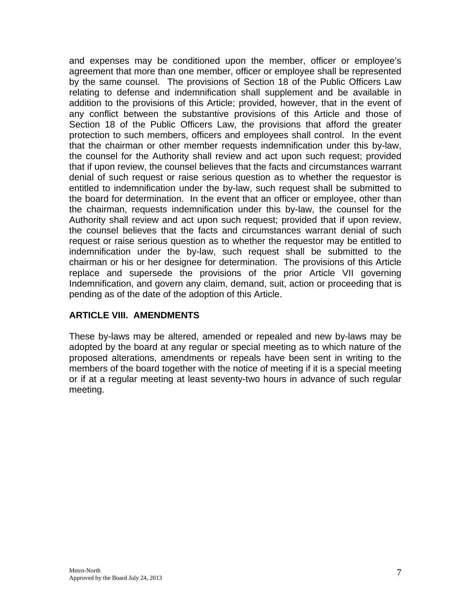and expenses may be conditioned upon the member, officer or employee's agreement that more than one member, officer or employee shall be represented by the same counsel. The provisions of Section 18 of the Public Officers Law relating to defense and indemnification shall supplement and be available in addition to the provisions of this Article; provided, however, that in the event of any conflict between the substantive provisions of this Article and those of Section 18 of the Public Officers Law, the provisions that afford the greater protection to such members, officers and employees shall control. In the event that the chairman or other member requests indemnification under this by-law, the counsel for the Authority shall review and act upon such request; provided that if upon review, the counsel believes that the facts and circumstances warrant denial of such request or raise serious question as to whether the requestor is entitled to indemnification under the by-law, such request shall be submitted to the board for determination. In the event that an officer or employee, other than the chairman, requests indemnification under this by-law, the counsel for the Authority shall review and act upon such request; provided that if upon review, the counsel believes that the facts and circumstances warrant denial of such request or raise serious question as to whether the requestor may be entitled to indemnification under the by-law, such request shall be submitted to the chairman or his or her designee for determination. The provisions of this Article replace and supersede the provisions of the prior Article VII governing Indemnification, and govern any claim, demand, suit, action or proceeding that is pending as of the date of the adoption of this Article.

## **ARTICLE VIII. AMENDMENTS**

These by-laws may be altered, amended or repealed and new by-laws may be adopted by the board at any regular or special meeting as to which nature of the proposed alterations, amendments or repeals have been sent in writing to the members of the board together with the notice of meeting if it is a special meeting or if at a regular meeting at least seventy-two hours in advance of such regular meeting.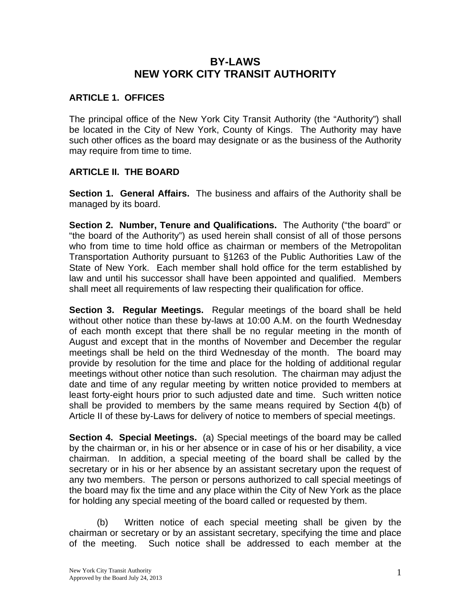# **BY-LAWS NEW YORK CITY TRANSIT AUTHORITY**

### **ARTICLE 1. OFFICES**

The principal office of the New York City Transit Authority (the "Authority") shall be located in the City of New York, County of Kings. The Authority may have such other offices as the board may designate or as the business of the Authority may require from time to time.

### **ARTICLE II. THE BOARD**

**Section 1. General Affairs.** The business and affairs of the Authority shall be managed by its board.

**Section 2. Number, Tenure and Qualifications.** The Authority ("the board" or "the board of the Authority") as used herein shall consist of all of those persons who from time to time hold office as chairman or members of the Metropolitan Transportation Authority pursuant to §1263 of the Public Authorities Law of the State of New York. Each member shall hold office for the term established by law and until his successor shall have been appointed and qualified. Members shall meet all requirements of law respecting their qualification for office.

**Section 3. Regular Meetings.** Regular meetings of the board shall be held without other notice than these by-laws at 10:00 A.M. on the fourth Wednesday of each month except that there shall be no regular meeting in the month of August and except that in the months of November and December the regular meetings shall be held on the third Wednesday of the month. The board may provide by resolution for the time and place for the holding of additional regular meetings without other notice than such resolution. The chairman may adjust the date and time of any regular meeting by written notice provided to members at least forty-eight hours prior to such adjusted date and time. Such written notice shall be provided to members by the same means required by Section 4(b) of Article II of these by-Laws for delivery of notice to members of special meetings.

**Section 4. Special Meetings.** (a) Special meetings of the board may be called by the chairman or, in his or her absence or in case of his or her disability, a vice chairman. In addition, a special meeting of the board shall be called by the secretary or in his or her absence by an assistant secretary upon the request of any two members. The person or persons authorized to call special meetings of the board may fix the time and any place within the City of New York as the place for holding any special meeting of the board called or requested by them.

(b) Written notice of each special meeting shall be given by the chairman or secretary or by an assistant secretary, specifying the time and place of the meeting. Such notice shall be addressed to each member at the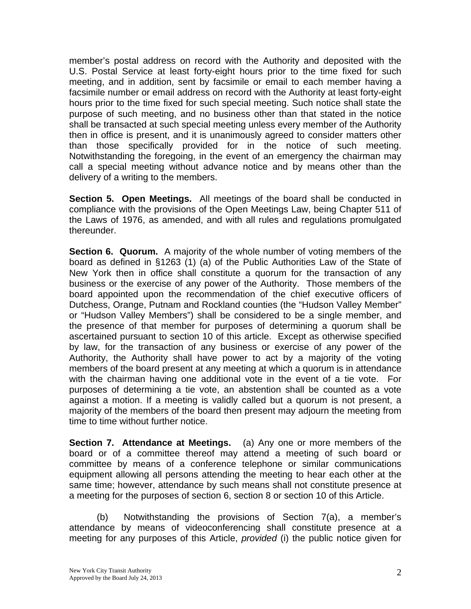member's postal address on record with the Authority and deposited with the U.S. Postal Service at least forty-eight hours prior to the time fixed for such meeting, and in addition, sent by facsimile or email to each member having a facsimile number or email address on record with the Authority at least forty-eight hours prior to the time fixed for such special meeting. Such notice shall state the purpose of such meeting, and no business other than that stated in the notice shall be transacted at such special meeting unless every member of the Authority then in office is present, and it is unanimously agreed to consider matters other than those specifically provided for in the notice of such meeting. Notwithstanding the foregoing, in the event of an emergency the chairman may call a special meeting without advance notice and by means other than the delivery of a writing to the members.

**Section 5. Open Meetings.** All meetings of the board shall be conducted in compliance with the provisions of the Open Meetings Law, being Chapter 511 of the Laws of 1976, as amended, and with all rules and regulations promulgated thereunder.

**Section 6. Quorum.** A majority of the whole number of voting members of the board as defined in §1263 (1) (a) of the Public Authorities Law of the State of New York then in office shall constitute a quorum for the transaction of any business or the exercise of any power of the Authority. Those members of the board appointed upon the recommendation of the chief executive officers of Dutchess, Orange, Putnam and Rockland counties (the "Hudson Valley Member" or "Hudson Valley Members") shall be considered to be a single member, and the presence of that member for purposes of determining a quorum shall be ascertained pursuant to section 10 of this article. Except as otherwise specified by law, for the transaction of any business or exercise of any power of the Authority, the Authority shall have power to act by a majority of the voting members of the board present at any meeting at which a quorum is in attendance with the chairman having one additional vote in the event of a tie vote. For purposes of determining a tie vote, an abstention shall be counted as a vote against a motion. If a meeting is validly called but a quorum is not present, a majority of the members of the board then present may adjourn the meeting from time to time without further notice.

**Section 7. Attendance at Meetings.** (a) Any one or more members of the board or of a committee thereof may attend a meeting of such board or committee by means of a conference telephone or similar communications equipment allowing all persons attending the meeting to hear each other at the same time; however, attendance by such means shall not constitute presence at a meeting for the purposes of section 6, section 8 or section 10 of this Article.

(b) Notwithstanding the provisions of Section 7(a), a member's attendance by means of videoconferencing shall constitute presence at a meeting for any purposes of this Article, *provided* (i) the public notice given for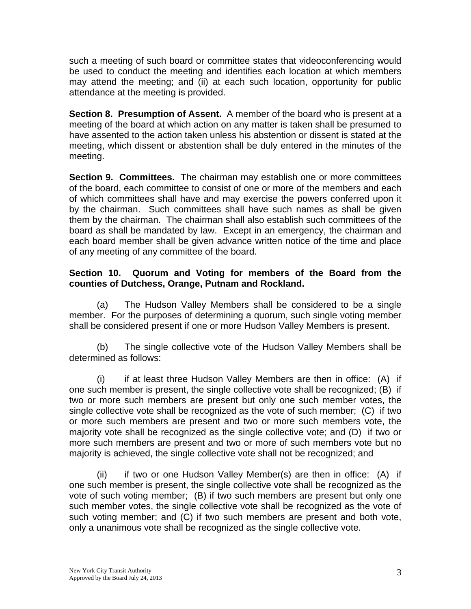such a meeting of such board or committee states that videoconferencing would be used to conduct the meeting and identifies each location at which members may attend the meeting; and (ii) at each such location, opportunity for public attendance at the meeting is provided.

**Section 8. Presumption of Assent.** A member of the board who is present at a meeting of the board at which action on any matter is taken shall be presumed to have assented to the action taken unless his abstention or dissent is stated at the meeting, which dissent or abstention shall be duly entered in the minutes of the meeting.

**Section 9. Committees.** The chairman may establish one or more committees of the board, each committee to consist of one or more of the members and each of which committees shall have and may exercise the powers conferred upon it by the chairman. Such committees shall have such names as shall be given them by the chairman. The chairman shall also establish such committees of the board as shall be mandated by law. Except in an emergency, the chairman and each board member shall be given advance written notice of the time and place of any meeting of any committee of the board.

### **Section 10. Quorum and Voting for members of the Board from the counties of Dutchess, Orange, Putnam and Rockland.**

 (a) The Hudson Valley Members shall be considered to be a single member. For the purposes of determining a quorum, such single voting member shall be considered present if one or more Hudson Valley Members is present.

(b) The single collective vote of the Hudson Valley Members shall be determined as follows:

(i) if at least three Hudson Valley Members are then in office: (A) if one such member is present, the single collective vote shall be recognized; (B) if two or more such members are present but only one such member votes, the single collective vote shall be recognized as the vote of such member; (C) if two or more such members are present and two or more such members vote, the majority vote shall be recognized as the single collective vote; and (D) if two or more such members are present and two or more of such members vote but no majority is achieved, the single collective vote shall not be recognized; and

 (ii) if two or one Hudson Valley Member(s) are then in office: (A) if one such member is present, the single collective vote shall be recognized as the vote of such voting member; (B) if two such members are present but only one such member votes, the single collective vote shall be recognized as the vote of such voting member; and (C) if two such members are present and both vote, only a unanimous vote shall be recognized as the single collective vote.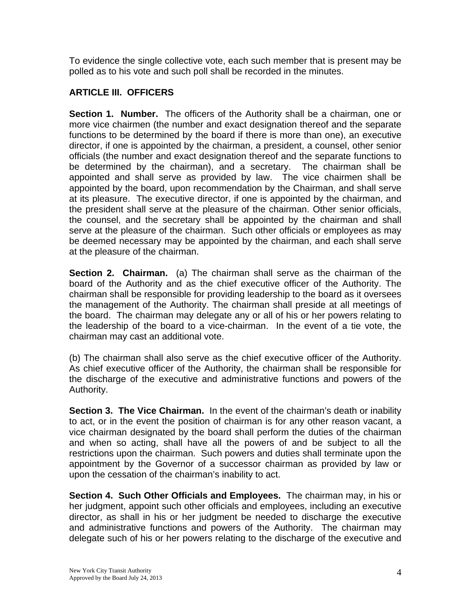To evidence the single collective vote, each such member that is present may be polled as to his vote and such poll shall be recorded in the minutes.

## **ARTICLE III. OFFICERS**

**Section 1. Number.** The officers of the Authority shall be a chairman, one or more vice chairmen (the number and exact designation thereof and the separate functions to be determined by the board if there is more than one), an executive director, if one is appointed by the chairman, a president, a counsel, other senior officials (the number and exact designation thereof and the separate functions to be determined by the chairman), and a secretary. The chairman shall be appointed and shall serve as provided by law. The vice chairmen shall be appointed by the board, upon recommendation by the Chairman, and shall serve at its pleasure. The executive director, if one is appointed by the chairman, and the president shall serve at the pleasure of the chairman. Other senior officials, the counsel, and the secretary shall be appointed by the chairman and shall serve at the pleasure of the chairman. Such other officials or employees as may be deemed necessary may be appointed by the chairman, and each shall serve at the pleasure of the chairman.

**Section 2. Chairman.** (a) The chairman shall serve as the chairman of the board of the Authority and as the chief executive officer of the Authority. The chairman shall be responsible for providing leadership to the board as it oversees the management of the Authority. The chairman shall preside at all meetings of the board. The chairman may delegate any or all of his or her powers relating to the leadership of the board to a vice-chairman. In the event of a tie vote, the chairman may cast an additional vote.

(b) The chairman shall also serve as the chief executive officer of the Authority. As chief executive officer of the Authority, the chairman shall be responsible for the discharge of the executive and administrative functions and powers of the Authority.

**Section 3. The Vice Chairman.** In the event of the chairman's death or inability to act, or in the event the position of chairman is for any other reason vacant, a vice chairman designated by the board shall perform the duties of the chairman and when so acting, shall have all the powers of and be subject to all the restrictions upon the chairman. Such powers and duties shall terminate upon the appointment by the Governor of a successor chairman as provided by law or upon the cessation of the chairman's inability to act.

**Section 4. Such Other Officials and Employees.** The chairman may, in his or her judgment, appoint such other officials and employees, including an executive director, as shall in his or her judgment be needed to discharge the executive and administrative functions and powers of the Authority. The chairman may delegate such of his or her powers relating to the discharge of the executive and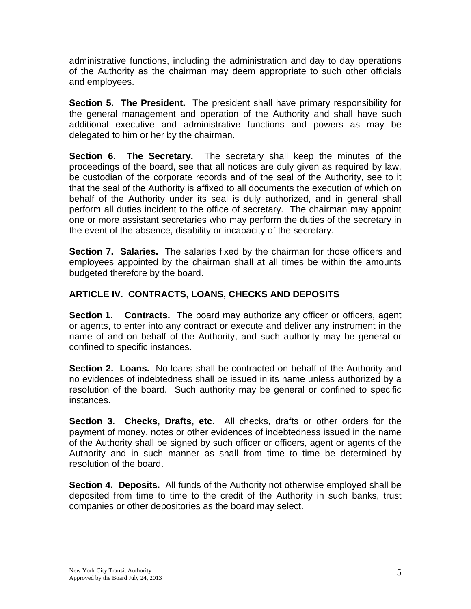administrative functions, including the administration and day to day operations of the Authority as the chairman may deem appropriate to such other officials and employees.

**Section 5. The President.** The president shall have primary responsibility for the general management and operation of the Authority and shall have such additional executive and administrative functions and powers as may be delegated to him or her by the chairman.

**Section 6. The Secretary.** The secretary shall keep the minutes of the proceedings of the board, see that all notices are duly given as required by law, be custodian of the corporate records and of the seal of the Authority, see to it that the seal of the Authority is affixed to all documents the execution of which on behalf of the Authority under its seal is duly authorized, and in general shall perform all duties incident to the office of secretary. The chairman may appoint one or more assistant secretaries who may perform the duties of the secretary in the event of the absence, disability or incapacity of the secretary.

**Section 7. Salaries.** The salaries fixed by the chairman for those officers and employees appointed by the chairman shall at all times be within the amounts budgeted therefore by the board.

# **ARTICLE IV. CONTRACTS, LOANS, CHECKS AND DEPOSITS**

**Section 1. Contracts.** The board may authorize any officer or officers, agent or agents, to enter into any contract or execute and deliver any instrument in the name of and on behalf of the Authority, and such authority may be general or confined to specific instances.

**Section 2. Loans.** No loans shall be contracted on behalf of the Authority and no evidences of indebtedness shall be issued in its name unless authorized by a resolution of the board. Such authority may be general or confined to specific instances.

**Section 3. Checks, Drafts, etc.** All checks, drafts or other orders for the payment of money, notes or other evidences of indebtedness issued in the name of the Authority shall be signed by such officer or officers, agent or agents of the Authority and in such manner as shall from time to time be determined by resolution of the board.

**Section 4. Deposits.** All funds of the Authority not otherwise employed shall be deposited from time to time to the credit of the Authority in such banks, trust companies or other depositories as the board may select.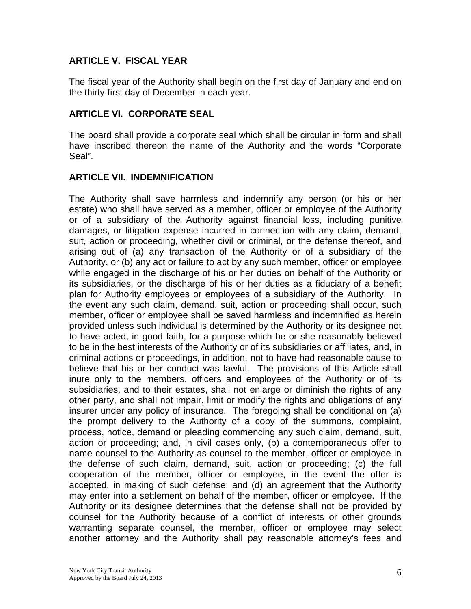### **ARTICLE V. FISCAL YEAR**

The fiscal year of the Authority shall begin on the first day of January and end on the thirty-first day of December in each year.

#### **ARTICLE VI. CORPORATE SEAL**

The board shall provide a corporate seal which shall be circular in form and shall have inscribed thereon the name of the Authority and the words "Corporate Seal".

### **ARTICLE VII. INDEMNIFICATION**

The Authority shall save harmless and indemnify any person (or his or her estate) who shall have served as a member, officer or employee of the Authority or of a subsidiary of the Authority against financial loss, including punitive damages, or litigation expense incurred in connection with any claim, demand, suit, action or proceeding, whether civil or criminal, or the defense thereof, and arising out of (a) any transaction of the Authority or of a subsidiary of the Authority, or (b) any act or failure to act by any such member, officer or employee while engaged in the discharge of his or her duties on behalf of the Authority or its subsidiaries, or the discharge of his or her duties as a fiduciary of a benefit plan for Authority employees or employees of a subsidiary of the Authority. In the event any such claim, demand, suit, action or proceeding shall occur, such member, officer or employee shall be saved harmless and indemnified as herein provided unless such individual is determined by the Authority or its designee not to have acted, in good faith, for a purpose which he or she reasonably believed to be in the best interests of the Authority or of its subsidiaries or affiliates, and, in criminal actions or proceedings, in addition, not to have had reasonable cause to believe that his or her conduct was lawful. The provisions of this Article shall inure only to the members, officers and employees of the Authority or of its subsidiaries, and to their estates, shall not enlarge or diminish the rights of any other party, and shall not impair, limit or modify the rights and obligations of any insurer under any policy of insurance. The foregoing shall be conditional on (a) the prompt delivery to the Authority of a copy of the summons, complaint, process, notice, demand or pleading commencing any such claim, demand, suit, action or proceeding; and, in civil cases only, (b) a contemporaneous offer to name counsel to the Authority as counsel to the member, officer or employee in the defense of such claim, demand, suit, action or proceeding; (c) the full cooperation of the member, officer or employee, in the event the offer is accepted, in making of such defense; and (d) an agreement that the Authority may enter into a settlement on behalf of the member, officer or employee. If the Authority or its designee determines that the defense shall not be provided by counsel for the Authority because of a conflict of interests or other grounds warranting separate counsel, the member, officer or employee may select another attorney and the Authority shall pay reasonable attorney's fees and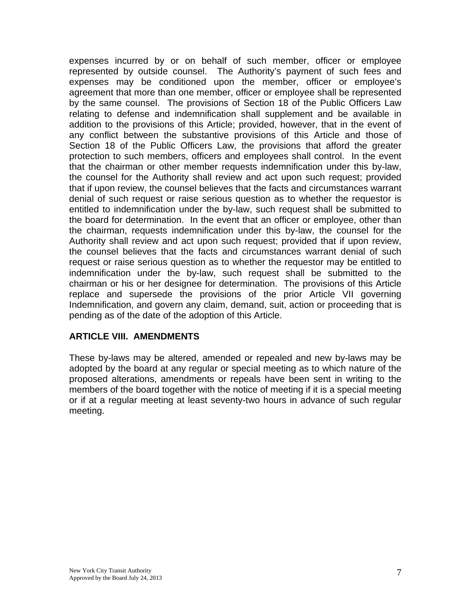expenses incurred by or on behalf of such member, officer or employee represented by outside counsel. The Authority's payment of such fees and expenses may be conditioned upon the member, officer or employee's agreement that more than one member, officer or employee shall be represented by the same counsel. The provisions of Section 18 of the Public Officers Law relating to defense and indemnification shall supplement and be available in addition to the provisions of this Article; provided, however, that in the event of any conflict between the substantive provisions of this Article and those of Section 18 of the Public Officers Law, the provisions that afford the greater protection to such members, officers and employees shall control. In the event that the chairman or other member requests indemnification under this by-law, the counsel for the Authority shall review and act upon such request; provided that if upon review, the counsel believes that the facts and circumstances warrant denial of such request or raise serious question as to whether the requestor is entitled to indemnification under the by-law, such request shall be submitted to the board for determination. In the event that an officer or employee, other than the chairman, requests indemnification under this by-law, the counsel for the Authority shall review and act upon such request; provided that if upon review, the counsel believes that the facts and circumstances warrant denial of such request or raise serious question as to whether the requestor may be entitled to indemnification under the by-law, such request shall be submitted to the chairman or his or her designee for determination. The provisions of this Article replace and supersede the provisions of the prior Article VII governing Indemnification, and govern any claim, demand, suit, action or proceeding that is pending as of the date of the adoption of this Article.

#### **ARTICLE VIII. AMENDMENTS**

These by-laws may be altered, amended or repealed and new by-laws may be adopted by the board at any regular or special meeting as to which nature of the proposed alterations, amendments or repeals have been sent in writing to the members of the board together with the notice of meeting if it is a special meeting or if at a regular meeting at least seventy-two hours in advance of such regular meeting.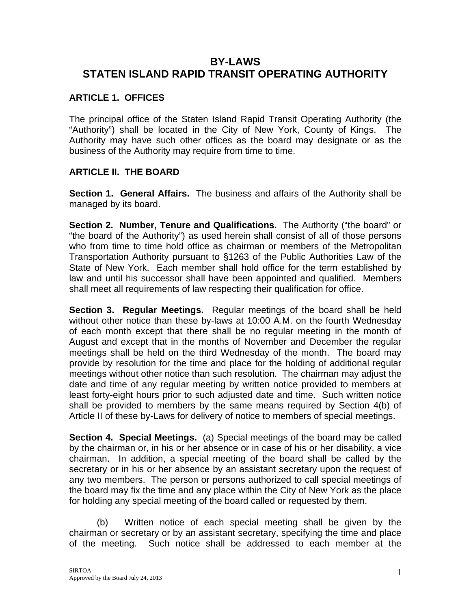# **BY-LAWS STATEN ISLAND RAPID TRANSIT OPERATING AUTHORITY**

### **ARTICLE 1. OFFICES**

The principal office of the Staten Island Rapid Transit Operating Authority (the "Authority") shall be located in the City of New York, County of Kings. The Authority may have such other offices as the board may designate or as the business of the Authority may require from time to time.

### **ARTICLE II. THE BOARD**

**Section 1. General Affairs.** The business and affairs of the Authority shall be managed by its board.

**Section 2. Number, Tenure and Qualifications.** The Authority ("the board" or "the board of the Authority") as used herein shall consist of all of those persons who from time to time hold office as chairman or members of the Metropolitan Transportation Authority pursuant to §1263 of the Public Authorities Law of the State of New York. Each member shall hold office for the term established by law and until his successor shall have been appointed and qualified. Members shall meet all requirements of law respecting their qualification for office.

**Section 3. Regular Meetings.** Regular meetings of the board shall be held without other notice than these by-laws at 10:00 A.M. on the fourth Wednesday of each month except that there shall be no regular meeting in the month of August and except that in the months of November and December the regular meetings shall be held on the third Wednesday of the month. The board may provide by resolution for the time and place for the holding of additional regular meetings without other notice than such resolution. The chairman may adjust the date and time of any regular meeting by written notice provided to members at least forty-eight hours prior to such adjusted date and time. Such written notice shall be provided to members by the same means required by Section 4(b) of Article II of these by-Laws for delivery of notice to members of special meetings.

**Section 4. Special Meetings.** (a) Special meetings of the board may be called by the chairman or, in his or her absence or in case of his or her disability, a vice chairman. In addition, a special meeting of the board shall be called by the secretary or in his or her absence by an assistant secretary upon the request of any two members. The person or persons authorized to call special meetings of the board may fix the time and any place within the City of New York as the place for holding any special meeting of the board called or requested by them.

(b) Written notice of each special meeting shall be given by the chairman or secretary or by an assistant secretary, specifying the time and place of the meeting. Such notice shall be addressed to each member at the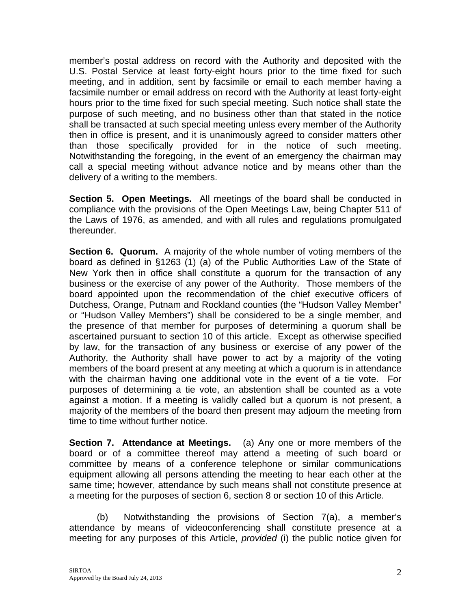member's postal address on record with the Authority and deposited with the U.S. Postal Service at least forty-eight hours prior to the time fixed for such meeting, and in addition, sent by facsimile or email to each member having a facsimile number or email address on record with the Authority at least forty-eight hours prior to the time fixed for such special meeting. Such notice shall state the purpose of such meeting, and no business other than that stated in the notice shall be transacted at such special meeting unless every member of the Authority then in office is present, and it is unanimously agreed to consider matters other than those specifically provided for in the notice of such meeting. Notwithstanding the foregoing, in the event of an emergency the chairman may call a special meeting without advance notice and by means other than the delivery of a writing to the members.

**Section 5. Open Meetings.** All meetings of the board shall be conducted in compliance with the provisions of the Open Meetings Law, being Chapter 511 of the Laws of 1976, as amended, and with all rules and regulations promulgated thereunder.

**Section 6. Quorum.** A majority of the whole number of voting members of the board as defined in §1263 (1) (a) of the Public Authorities Law of the State of New York then in office shall constitute a quorum for the transaction of any business or the exercise of any power of the Authority. Those members of the board appointed upon the recommendation of the chief executive officers of Dutchess, Orange, Putnam and Rockland counties (the "Hudson Valley Member" or "Hudson Valley Members") shall be considered to be a single member, and the presence of that member for purposes of determining a quorum shall be ascertained pursuant to section 10 of this article. Except as otherwise specified by law, for the transaction of any business or exercise of any power of the Authority, the Authority shall have power to act by a majority of the voting members of the board present at any meeting at which a quorum is in attendance with the chairman having one additional vote in the event of a tie vote. For purposes of determining a tie vote, an abstention shall be counted as a vote against a motion. If a meeting is validly called but a quorum is not present, a majority of the members of the board then present may adjourn the meeting from time to time without further notice.

**Section 7. Attendance at Meetings.** (a) Any one or more members of the board or of a committee thereof may attend a meeting of such board or committee by means of a conference telephone or similar communications equipment allowing all persons attending the meeting to hear each other at the same time; however, attendance by such means shall not constitute presence at a meeting for the purposes of section 6, section 8 or section 10 of this Article.

(b) Notwithstanding the provisions of Section 7(a), a member's attendance by means of videoconferencing shall constitute presence at a meeting for any purposes of this Article, *provided* (i) the public notice given for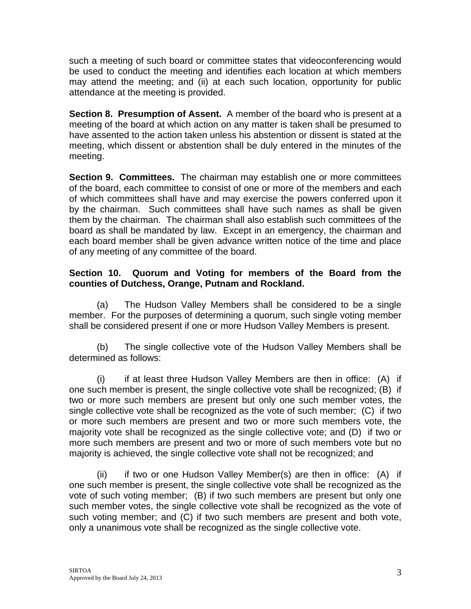such a meeting of such board or committee states that videoconferencing would be used to conduct the meeting and identifies each location at which members may attend the meeting; and (ii) at each such location, opportunity for public attendance at the meeting is provided.

**Section 8. Presumption of Assent.** A member of the board who is present at a meeting of the board at which action on any matter is taken shall be presumed to have assented to the action taken unless his abstention or dissent is stated at the meeting, which dissent or abstention shall be duly entered in the minutes of the meeting.

**Section 9. Committees.** The chairman may establish one or more committees of the board, each committee to consist of one or more of the members and each of which committees shall have and may exercise the powers conferred upon it by the chairman. Such committees shall have such names as shall be given them by the chairman. The chairman shall also establish such committees of the board as shall be mandated by law. Except in an emergency, the chairman and each board member shall be given advance written notice of the time and place of any meeting of any committee of the board.

### **Section 10. Quorum and Voting for members of the Board from the counties of Dutchess, Orange, Putnam and Rockland.**

 (a) The Hudson Valley Members shall be considered to be a single member. For the purposes of determining a quorum, such single voting member shall be considered present if one or more Hudson Valley Members is present.

(b) The single collective vote of the Hudson Valley Members shall be determined as follows:

(i) if at least three Hudson Valley Members are then in office: (A) if one such member is present, the single collective vote shall be recognized; (B) if two or more such members are present but only one such member votes, the single collective vote shall be recognized as the vote of such member; (C) if two or more such members are present and two or more such members vote, the majority vote shall be recognized as the single collective vote; and (D) if two or more such members are present and two or more of such members vote but no majority is achieved, the single collective vote shall not be recognized; and

 (ii) if two or one Hudson Valley Member(s) are then in office: (A) if one such member is present, the single collective vote shall be recognized as the vote of such voting member; (B) if two such members are present but only one such member votes, the single collective vote shall be recognized as the vote of such voting member; and (C) if two such members are present and both vote, only a unanimous vote shall be recognized as the single collective vote.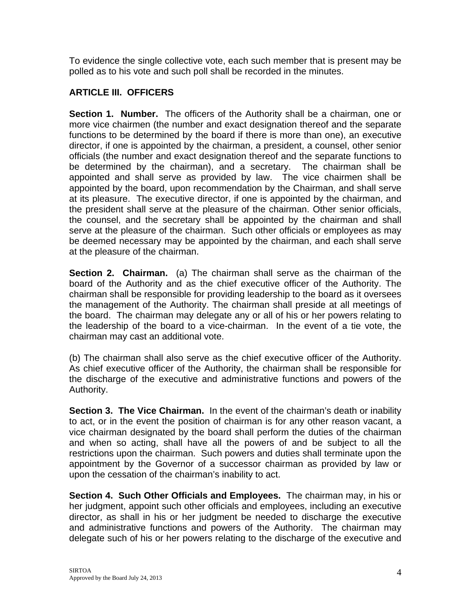To evidence the single collective vote, each such member that is present may be polled as to his vote and such poll shall be recorded in the minutes.

# **ARTICLE III. OFFICERS**

**Section 1. Number.** The officers of the Authority shall be a chairman, one or more vice chairmen (the number and exact designation thereof and the separate functions to be determined by the board if there is more than one), an executive director, if one is appointed by the chairman, a president, a counsel, other senior officials (the number and exact designation thereof and the separate functions to be determined by the chairman), and a secretary. The chairman shall be appointed and shall serve as provided by law. The vice chairmen shall be appointed by the board, upon recommendation by the Chairman, and shall serve at its pleasure. The executive director, if one is appointed by the chairman, and the president shall serve at the pleasure of the chairman. Other senior officials, the counsel, and the secretary shall be appointed by the chairman and shall serve at the pleasure of the chairman. Such other officials or employees as may be deemed necessary may be appointed by the chairman, and each shall serve at the pleasure of the chairman.

**Section 2. Chairman.** (a) The chairman shall serve as the chairman of the board of the Authority and as the chief executive officer of the Authority. The chairman shall be responsible for providing leadership to the board as it oversees the management of the Authority. The chairman shall preside at all meetings of the board. The chairman may delegate any or all of his or her powers relating to the leadership of the board to a vice-chairman. In the event of a tie vote, the chairman may cast an additional vote.

(b) The chairman shall also serve as the chief executive officer of the Authority. As chief executive officer of the Authority, the chairman shall be responsible for the discharge of the executive and administrative functions and powers of the Authority.

**Section 3. The Vice Chairman.** In the event of the chairman's death or inability to act, or in the event the position of chairman is for any other reason vacant, a vice chairman designated by the board shall perform the duties of the chairman and when so acting, shall have all the powers of and be subject to all the restrictions upon the chairman. Such powers and duties shall terminate upon the appointment by the Governor of a successor chairman as provided by law or upon the cessation of the chairman's inability to act.

**Section 4. Such Other Officials and Employees.** The chairman may, in his or her judgment, appoint such other officials and employees, including an executive director, as shall in his or her judgment be needed to discharge the executive and administrative functions and powers of the Authority. The chairman may delegate such of his or her powers relating to the discharge of the executive and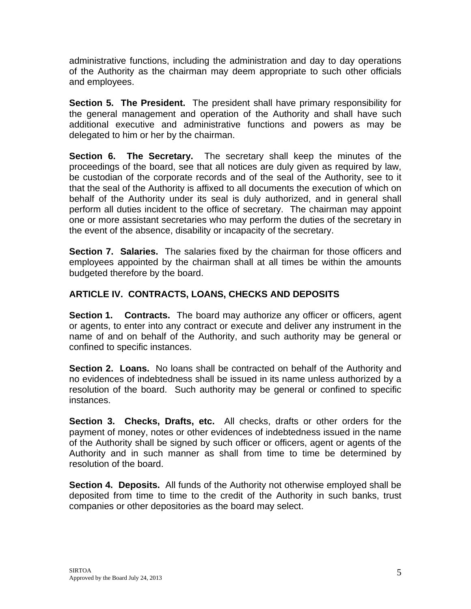administrative functions, including the administration and day to day operations of the Authority as the chairman may deem appropriate to such other officials and employees.

**Section 5. The President.** The president shall have primary responsibility for the general management and operation of the Authority and shall have such additional executive and administrative functions and powers as may be delegated to him or her by the chairman.

**Section 6. The Secretary.** The secretary shall keep the minutes of the proceedings of the board, see that all notices are duly given as required by law, be custodian of the corporate records and of the seal of the Authority, see to it that the seal of the Authority is affixed to all documents the execution of which on behalf of the Authority under its seal is duly authorized, and in general shall perform all duties incident to the office of secretary. The chairman may appoint one or more assistant secretaries who may perform the duties of the secretary in the event of the absence, disability or incapacity of the secretary.

**Section 7. Salaries.** The salaries fixed by the chairman for those officers and employees appointed by the chairman shall at all times be within the amounts budgeted therefore by the board.

# **ARTICLE IV. CONTRACTS, LOANS, CHECKS AND DEPOSITS**

**Section 1. Contracts.** The board may authorize any officer or officers, agent or agents, to enter into any contract or execute and deliver any instrument in the name of and on behalf of the Authority, and such authority may be general or confined to specific instances.

**Section 2. Loans.** No loans shall be contracted on behalf of the Authority and no evidences of indebtedness shall be issued in its name unless authorized by a resolution of the board. Such authority may be general or confined to specific instances.

**Section 3. Checks, Drafts, etc.** All checks, drafts or other orders for the payment of money, notes or other evidences of indebtedness issued in the name of the Authority shall be signed by such officer or officers, agent or agents of the Authority and in such manner as shall from time to time be determined by resolution of the board.

**Section 4. Deposits.** All funds of the Authority not otherwise employed shall be deposited from time to time to the credit of the Authority in such banks, trust companies or other depositories as the board may select.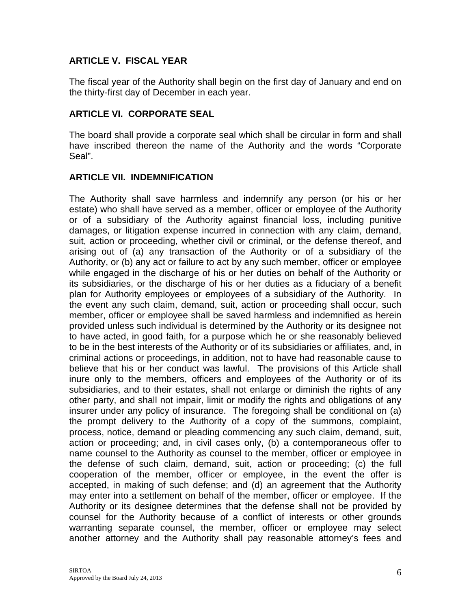## **ARTICLE V. FISCAL YEAR**

The fiscal year of the Authority shall begin on the first day of January and end on the thirty-first day of December in each year.

#### **ARTICLE VI. CORPORATE SEAL**

The board shall provide a corporate seal which shall be circular in form and shall have inscribed thereon the name of the Authority and the words "Corporate Seal".

#### **ARTICLE VII. INDEMNIFICATION**

The Authority shall save harmless and indemnify any person (or his or her estate) who shall have served as a member, officer or employee of the Authority or of a subsidiary of the Authority against financial loss, including punitive damages, or litigation expense incurred in connection with any claim, demand, suit, action or proceeding, whether civil or criminal, or the defense thereof, and arising out of (a) any transaction of the Authority or of a subsidiary of the Authority, or (b) any act or failure to act by any such member, officer or employee while engaged in the discharge of his or her duties on behalf of the Authority or its subsidiaries, or the discharge of his or her duties as a fiduciary of a benefit plan for Authority employees or employees of a subsidiary of the Authority. In the event any such claim, demand, suit, action or proceeding shall occur, such member, officer or employee shall be saved harmless and indemnified as herein provided unless such individual is determined by the Authority or its designee not to have acted, in good faith, for a purpose which he or she reasonably believed to be in the best interests of the Authority or of its subsidiaries or affiliates, and, in criminal actions or proceedings, in addition, not to have had reasonable cause to believe that his or her conduct was lawful. The provisions of this Article shall inure only to the members, officers and employees of the Authority or of its subsidiaries, and to their estates, shall not enlarge or diminish the rights of any other party, and shall not impair, limit or modify the rights and obligations of any insurer under any policy of insurance. The foregoing shall be conditional on (a) the prompt delivery to the Authority of a copy of the summons, complaint, process, notice, demand or pleading commencing any such claim, demand, suit, action or proceeding; and, in civil cases only, (b) a contemporaneous offer to name counsel to the Authority as counsel to the member, officer or employee in the defense of such claim, demand, suit, action or proceeding; (c) the full cooperation of the member, officer or employee, in the event the offer is accepted, in making of such defense; and (d) an agreement that the Authority may enter into a settlement on behalf of the member, officer or employee. If the Authority or its designee determines that the defense shall not be provided by counsel for the Authority because of a conflict of interests or other grounds warranting separate counsel, the member, officer or employee may select another attorney and the Authority shall pay reasonable attorney's fees and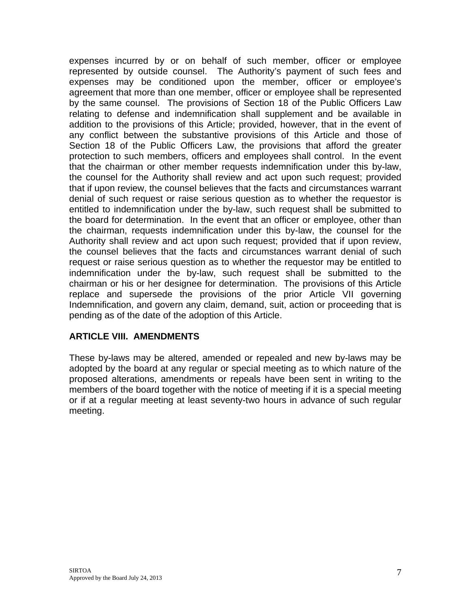expenses incurred by or on behalf of such member, officer or employee represented by outside counsel. The Authority's payment of such fees and expenses may be conditioned upon the member, officer or employee's agreement that more than one member, officer or employee shall be represented by the same counsel. The provisions of Section 18 of the Public Officers Law relating to defense and indemnification shall supplement and be available in addition to the provisions of this Article; provided, however, that in the event of any conflict between the substantive provisions of this Article and those of Section 18 of the Public Officers Law, the provisions that afford the greater protection to such members, officers and employees shall control. In the event that the chairman or other member requests indemnification under this by-law, the counsel for the Authority shall review and act upon such request; provided that if upon review, the counsel believes that the facts and circumstances warrant denial of such request or raise serious question as to whether the requestor is entitled to indemnification under the by-law, such request shall be submitted to the board for determination. In the event that an officer or employee, other than the chairman, requests indemnification under this by-law, the counsel for the Authority shall review and act upon such request; provided that if upon review, the counsel believes that the facts and circumstances warrant denial of such request or raise serious question as to whether the requestor may be entitled to indemnification under the by-law, such request shall be submitted to the chairman or his or her designee for determination. The provisions of this Article replace and supersede the provisions of the prior Article VII governing Indemnification, and govern any claim, demand, suit, action or proceeding that is pending as of the date of the adoption of this Article.

#### **ARTICLE VIII. AMENDMENTS**

These by-laws may be altered, amended or repealed and new by-laws may be adopted by the board at any regular or special meeting as to which nature of the proposed alterations, amendments or repeals have been sent in writing to the members of the board together with the notice of meeting if it is a special meeting or if at a regular meeting at least seventy-two hours in advance of such regular meeting.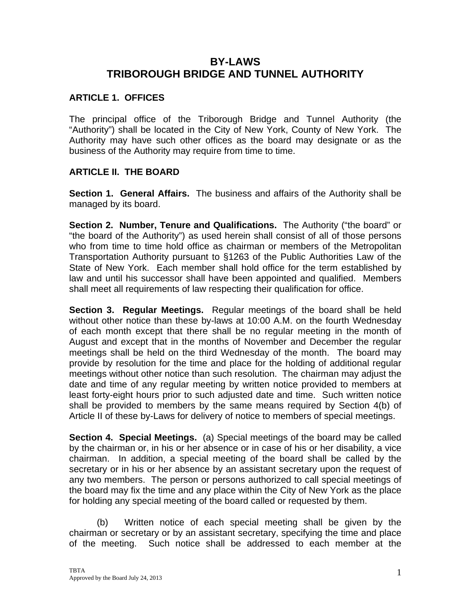# **BY-LAWS TRIBOROUGH BRIDGE AND TUNNEL AUTHORITY**

## **ARTICLE 1. OFFICES**

The principal office of the Triborough Bridge and Tunnel Authority (the "Authority") shall be located in the City of New York, County of New York. The Authority may have such other offices as the board may designate or as the business of the Authority may require from time to time.

### **ARTICLE II. THE BOARD**

**Section 1. General Affairs.** The business and affairs of the Authority shall be managed by its board.

**Section 2. Number, Tenure and Qualifications.** The Authority ("the board" or "the board of the Authority") as used herein shall consist of all of those persons who from time to time hold office as chairman or members of the Metropolitan Transportation Authority pursuant to §1263 of the Public Authorities Law of the State of New York. Each member shall hold office for the term established by law and until his successor shall have been appointed and qualified. Members shall meet all requirements of law respecting their qualification for office.

**Section 3. Regular Meetings.** Regular meetings of the board shall be held without other notice than these by-laws at 10:00 A.M. on the fourth Wednesday of each month except that there shall be no regular meeting in the month of August and except that in the months of November and December the regular meetings shall be held on the third Wednesday of the month. The board may provide by resolution for the time and place for the holding of additional regular meetings without other notice than such resolution. The chairman may adjust the date and time of any regular meeting by written notice provided to members at least forty-eight hours prior to such adjusted date and time. Such written notice shall be provided to members by the same means required by Section 4(b) of Article II of these by-Laws for delivery of notice to members of special meetings.

**Section 4. Special Meetings.** (a) Special meetings of the board may be called by the chairman or, in his or her absence or in case of his or her disability, a vice chairman. In addition, a special meeting of the board shall be called by the secretary or in his or her absence by an assistant secretary upon the request of any two members. The person or persons authorized to call special meetings of the board may fix the time and any place within the City of New York as the place for holding any special meeting of the board called or requested by them.

(b) Written notice of each special meeting shall be given by the chairman or secretary or by an assistant secretary, specifying the time and place of the meeting. Such notice shall be addressed to each member at the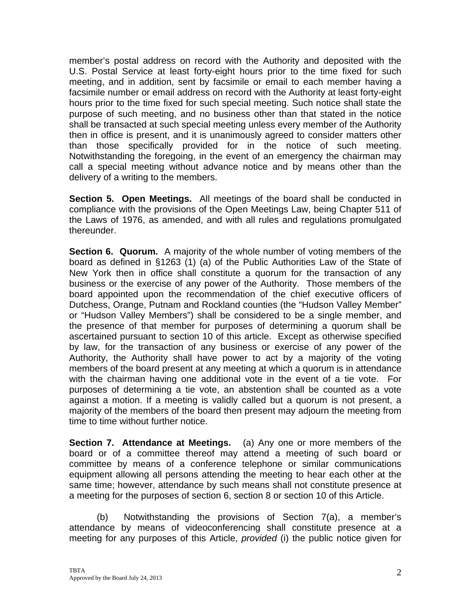member's postal address on record with the Authority and deposited with the U.S. Postal Service at least forty-eight hours prior to the time fixed for such meeting, and in addition, sent by facsimile or email to each member having a facsimile number or email address on record with the Authority at least forty-eight hours prior to the time fixed for such special meeting. Such notice shall state the purpose of such meeting, and no business other than that stated in the notice shall be transacted at such special meeting unless every member of the Authority then in office is present, and it is unanimously agreed to consider matters other than those specifically provided for in the notice of such meeting. Notwithstanding the foregoing, in the event of an emergency the chairman may call a special meeting without advance notice and by means other than the delivery of a writing to the members.

**Section 5. Open Meetings.** All meetings of the board shall be conducted in compliance with the provisions of the Open Meetings Law, being Chapter 511 of the Laws of 1976, as amended, and with all rules and regulations promulgated thereunder.

**Section 6. Quorum.** A majority of the whole number of voting members of the board as defined in §1263 (1) (a) of the Public Authorities Law of the State of New York then in office shall constitute a quorum for the transaction of any business or the exercise of any power of the Authority. Those members of the board appointed upon the recommendation of the chief executive officers of Dutchess, Orange, Putnam and Rockland counties (the "Hudson Valley Member" or "Hudson Valley Members") shall be considered to be a single member, and the presence of that member for purposes of determining a quorum shall be ascertained pursuant to section 10 of this article. Except as otherwise specified by law, for the transaction of any business or exercise of any power of the Authority, the Authority shall have power to act by a majority of the voting members of the board present at any meeting at which a quorum is in attendance with the chairman having one additional vote in the event of a tie vote. For purposes of determining a tie vote, an abstention shall be counted as a vote against a motion. If a meeting is validly called but a quorum is not present, a majority of the members of the board then present may adjourn the meeting from time to time without further notice.

**Section 7. Attendance at Meetings.** (a) Any one or more members of the board or of a committee thereof may attend a meeting of such board or committee by means of a conference telephone or similar communications equipment allowing all persons attending the meeting to hear each other at the same time; however, attendance by such means shall not constitute presence at a meeting for the purposes of section 6, section 8 or section 10 of this Article.

(b) Notwithstanding the provisions of Section 7(a), a member's attendance by means of videoconferencing shall constitute presence at a meeting for any purposes of this Article, *provided* (i) the public notice given for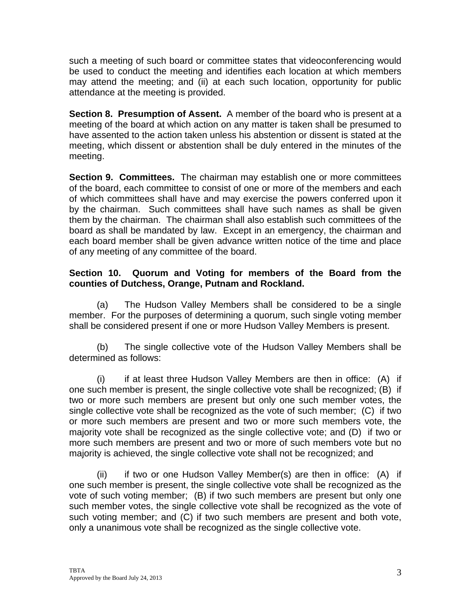such a meeting of such board or committee states that videoconferencing would be used to conduct the meeting and identifies each location at which members may attend the meeting; and (ii) at each such location, opportunity for public attendance at the meeting is provided.

**Section 8. Presumption of Assent.** A member of the board who is present at a meeting of the board at which action on any matter is taken shall be presumed to have assented to the action taken unless his abstention or dissent is stated at the meeting, which dissent or abstention shall be duly entered in the minutes of the meeting.

**Section 9. Committees.** The chairman may establish one or more committees of the board, each committee to consist of one or more of the members and each of which committees shall have and may exercise the powers conferred upon it by the chairman. Such committees shall have such names as shall be given them by the chairman. The chairman shall also establish such committees of the board as shall be mandated by law. Except in an emergency, the chairman and each board member shall be given advance written notice of the time and place of any meeting of any committee of the board.

### **Section 10. Quorum and Voting for members of the Board from the counties of Dutchess, Orange, Putnam and Rockland.**

 (a) The Hudson Valley Members shall be considered to be a single member. For the purposes of determining a quorum, such single voting member shall be considered present if one or more Hudson Valley Members is present.

(b) The single collective vote of the Hudson Valley Members shall be determined as follows:

(i) if at least three Hudson Valley Members are then in office: (A) if one such member is present, the single collective vote shall be recognized; (B) if two or more such members are present but only one such member votes, the single collective vote shall be recognized as the vote of such member; (C) if two or more such members are present and two or more such members vote, the majority vote shall be recognized as the single collective vote; and (D) if two or more such members are present and two or more of such members vote but no majority is achieved, the single collective vote shall not be recognized; and

 (ii) if two or one Hudson Valley Member(s) are then in office: (A) if one such member is present, the single collective vote shall be recognized as the vote of such voting member; (B) if two such members are present but only one such member votes, the single collective vote shall be recognized as the vote of such voting member; and (C) if two such members are present and both vote, only a unanimous vote shall be recognized as the single collective vote.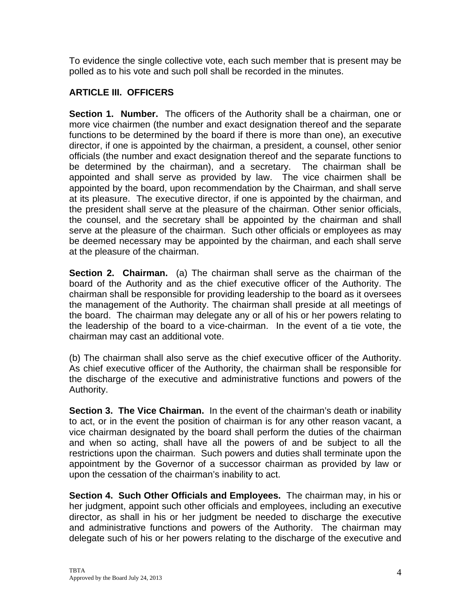To evidence the single collective vote, each such member that is present may be polled as to his vote and such poll shall be recorded in the minutes.

## **ARTICLE III. OFFICERS**

**Section 1. Number.** The officers of the Authority shall be a chairman, one or more vice chairmen (the number and exact designation thereof and the separate functions to be determined by the board if there is more than one), an executive director, if one is appointed by the chairman, a president, a counsel, other senior officials (the number and exact designation thereof and the separate functions to be determined by the chairman), and a secretary. The chairman shall be appointed and shall serve as provided by law. The vice chairmen shall be appointed by the board, upon recommendation by the Chairman, and shall serve at its pleasure. The executive director, if one is appointed by the chairman, and the president shall serve at the pleasure of the chairman. Other senior officials, the counsel, and the secretary shall be appointed by the chairman and shall serve at the pleasure of the chairman. Such other officials or employees as may be deemed necessary may be appointed by the chairman, and each shall serve at the pleasure of the chairman.

**Section 2. Chairman.** (a) The chairman shall serve as the chairman of the board of the Authority and as the chief executive officer of the Authority. The chairman shall be responsible for providing leadership to the board as it oversees the management of the Authority. The chairman shall preside at all meetings of the board. The chairman may delegate any or all of his or her powers relating to the leadership of the board to a vice-chairman. In the event of a tie vote, the chairman may cast an additional vote.

(b) The chairman shall also serve as the chief executive officer of the Authority. As chief executive officer of the Authority, the chairman shall be responsible for the discharge of the executive and administrative functions and powers of the Authority.

**Section 3. The Vice Chairman.** In the event of the chairman's death or inability to act, or in the event the position of chairman is for any other reason vacant, a vice chairman designated by the board shall perform the duties of the chairman and when so acting, shall have all the powers of and be subject to all the restrictions upon the chairman. Such powers and duties shall terminate upon the appointment by the Governor of a successor chairman as provided by law or upon the cessation of the chairman's inability to act.

**Section 4. Such Other Officials and Employees.** The chairman may, in his or her judgment, appoint such other officials and employees, including an executive director, as shall in his or her judgment be needed to discharge the executive and administrative functions and powers of the Authority. The chairman may delegate such of his or her powers relating to the discharge of the executive and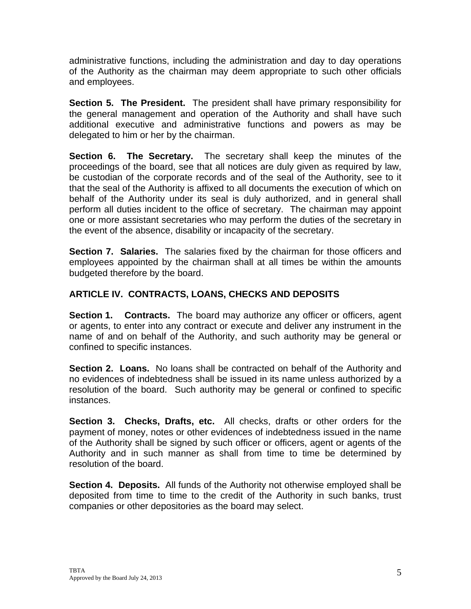administrative functions, including the administration and day to day operations of the Authority as the chairman may deem appropriate to such other officials and employees.

**Section 5. The President.** The president shall have primary responsibility for the general management and operation of the Authority and shall have such additional executive and administrative functions and powers as may be delegated to him or her by the chairman.

**Section 6. The Secretary.** The secretary shall keep the minutes of the proceedings of the board, see that all notices are duly given as required by law, be custodian of the corporate records and of the seal of the Authority, see to it that the seal of the Authority is affixed to all documents the execution of which on behalf of the Authority under its seal is duly authorized, and in general shall perform all duties incident to the office of secretary. The chairman may appoint one or more assistant secretaries who may perform the duties of the secretary in the event of the absence, disability or incapacity of the secretary.

**Section 7. Salaries.** The salaries fixed by the chairman for those officers and employees appointed by the chairman shall at all times be within the amounts budgeted therefore by the board.

# **ARTICLE IV. CONTRACTS, LOANS, CHECKS AND DEPOSITS**

**Section 1. Contracts.** The board may authorize any officer or officers, agent or agents, to enter into any contract or execute and deliver any instrument in the name of and on behalf of the Authority, and such authority may be general or confined to specific instances.

**Section 2. Loans.** No loans shall be contracted on behalf of the Authority and no evidences of indebtedness shall be issued in its name unless authorized by a resolution of the board. Such authority may be general or confined to specific instances.

**Section 3. Checks, Drafts, etc.** All checks, drafts or other orders for the payment of money, notes or other evidences of indebtedness issued in the name of the Authority shall be signed by such officer or officers, agent or agents of the Authority and in such manner as shall from time to time be determined by resolution of the board.

**Section 4. Deposits.** All funds of the Authority not otherwise employed shall be deposited from time to time to the credit of the Authority in such banks, trust companies or other depositories as the board may select.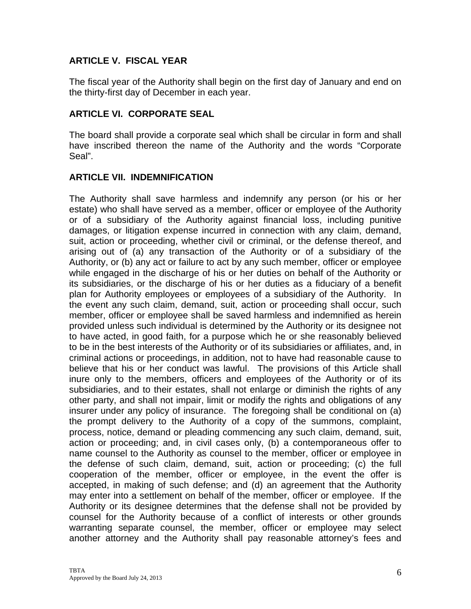## **ARTICLE V. FISCAL YEAR**

The fiscal year of the Authority shall begin on the first day of January and end on the thirty-first day of December in each year.

#### **ARTICLE VI. CORPORATE SEAL**

The board shall provide a corporate seal which shall be circular in form and shall have inscribed thereon the name of the Authority and the words "Corporate Seal".

### **ARTICLE VII. INDEMNIFICATION**

The Authority shall save harmless and indemnify any person (or his or her estate) who shall have served as a member, officer or employee of the Authority or of a subsidiary of the Authority against financial loss, including punitive damages, or litigation expense incurred in connection with any claim, demand, suit, action or proceeding, whether civil or criminal, or the defense thereof, and arising out of (a) any transaction of the Authority or of a subsidiary of the Authority, or (b) any act or failure to act by any such member, officer or employee while engaged in the discharge of his or her duties on behalf of the Authority or its subsidiaries, or the discharge of his or her duties as a fiduciary of a benefit plan for Authority employees or employees of a subsidiary of the Authority. In the event any such claim, demand, suit, action or proceeding shall occur, such member, officer or employee shall be saved harmless and indemnified as herein provided unless such individual is determined by the Authority or its designee not to have acted, in good faith, for a purpose which he or she reasonably believed to be in the best interests of the Authority or of its subsidiaries or affiliates, and, in criminal actions or proceedings, in addition, not to have had reasonable cause to believe that his or her conduct was lawful. The provisions of this Article shall inure only to the members, officers and employees of the Authority or of its subsidiaries, and to their estates, shall not enlarge or diminish the rights of any other party, and shall not impair, limit or modify the rights and obligations of any insurer under any policy of insurance. The foregoing shall be conditional on (a) the prompt delivery to the Authority of a copy of the summons, complaint, process, notice, demand or pleading commencing any such claim, demand, suit, action or proceeding; and, in civil cases only, (b) a contemporaneous offer to name counsel to the Authority as counsel to the member, officer or employee in the defense of such claim, demand, suit, action or proceeding; (c) the full cooperation of the member, officer or employee, in the event the offer is accepted, in making of such defense; and (d) an agreement that the Authority may enter into a settlement on behalf of the member, officer or employee. If the Authority or its designee determines that the defense shall not be provided by counsel for the Authority because of a conflict of interests or other grounds warranting separate counsel, the member, officer or employee may select another attorney and the Authority shall pay reasonable attorney's fees and